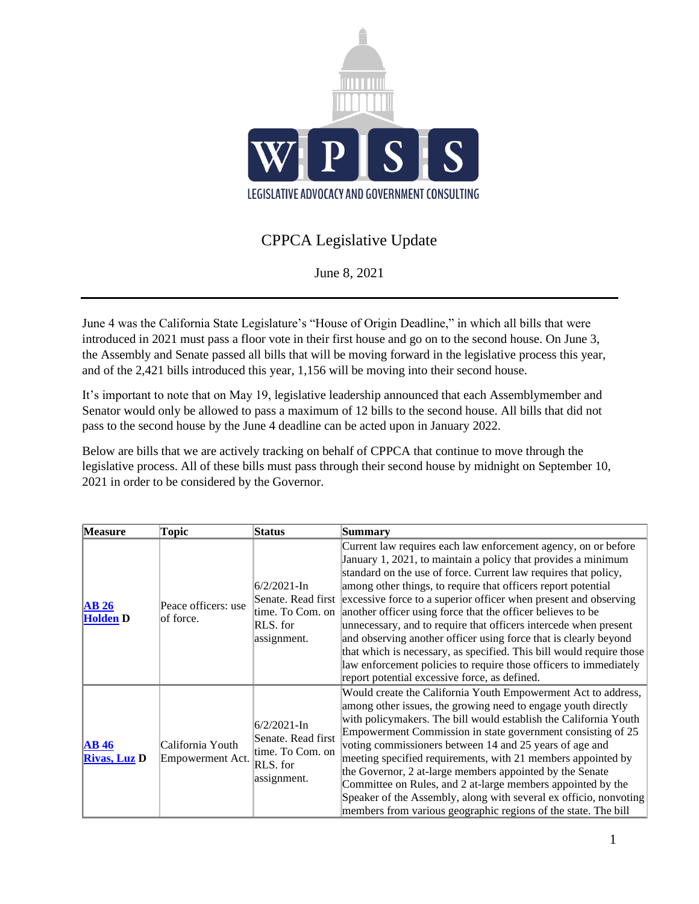

## CPPCA Legislative Update

June 8, 2021

June 4 was the California State Legislature's "House of Origin Deadline," in which all bills that were introduced in 2021 must pass a floor vote in their first house and go on to the second house. On June 3, the Assembly and Senate passed all bills that will be moving forward in the legislative process this year, and of the 2,421 bills introduced this year, 1,156 will be moving into their second house.

It's important to note that on May 19, legislative leadership announced that each Assemblymember and Senator would only be allowed to pass a maximum of 12 bills to the second house. All bills that did not pass to the second house by the June 4 deadline can be acted upon in January 2022.

Below are bills that we are actively tracking on behalf of CPPCA that continue to move through the legislative process. All of these bills must pass through their second house by midnight on September 10, 2021 in order to be considered by the Governor.

| <b>Measure</b>              | Topic                                | <b>Status</b>                                                                       | <b>Summary</b>                                                                                                                                                                                                                                                                                                                                                                                                                                                                                                                                                                                                                                                                                                                                                                   |
|-----------------------------|--------------------------------------|-------------------------------------------------------------------------------------|----------------------------------------------------------------------------------------------------------------------------------------------------------------------------------------------------------------------------------------------------------------------------------------------------------------------------------------------------------------------------------------------------------------------------------------------------------------------------------------------------------------------------------------------------------------------------------------------------------------------------------------------------------------------------------------------------------------------------------------------------------------------------------|
| AB26<br><b>Holden D</b>     | Peace officers: use<br>of force.     | $6/2/2021$ -In<br>RLS. for<br>assignment.                                           | Current law requires each law enforcement agency, on or before<br>January 1, 2021, to maintain a policy that provides a minimum<br>standard on the use of force. Current law requires that policy,<br>among other things, to require that officers report potential<br>Senate. Read first excessive force to a superior officer when present and observing<br>time. To Com. on another officer using force that the officer believes to be<br>unnecessary, and to require that officers intercede when present<br>and observing another officer using force that is clearly beyond<br>that which is necessary, as specified. This bill would require those<br>law enforcement policies to require those officers to immediately<br>report potential excessive force, as defined. |
| AB46<br><b>Rivas, Luz D</b> | California Youth<br>Empowerment Act. | $6/2/2021$ -In<br>Senate. Read first<br>time. To Com. on<br>RLS. for<br>assignment. | Would create the California Youth Empowerment Act to address,<br>among other issues, the growing need to engage youth directly<br>with policymakers. The bill would establish the California Youth<br>Empowerment Commission in state government consisting of 25<br>voting commissioners between 14 and 25 years of age and<br>meeting specified requirements, with 21 members appointed by<br>the Governor, 2 at-large members appointed by the Senate<br>Committee on Rules, and 2 at-large members appointed by the<br>Speaker of the Assembly, along with several ex officio, nonvoting<br>members from various geographic regions of the state. The bill                                                                                                                   |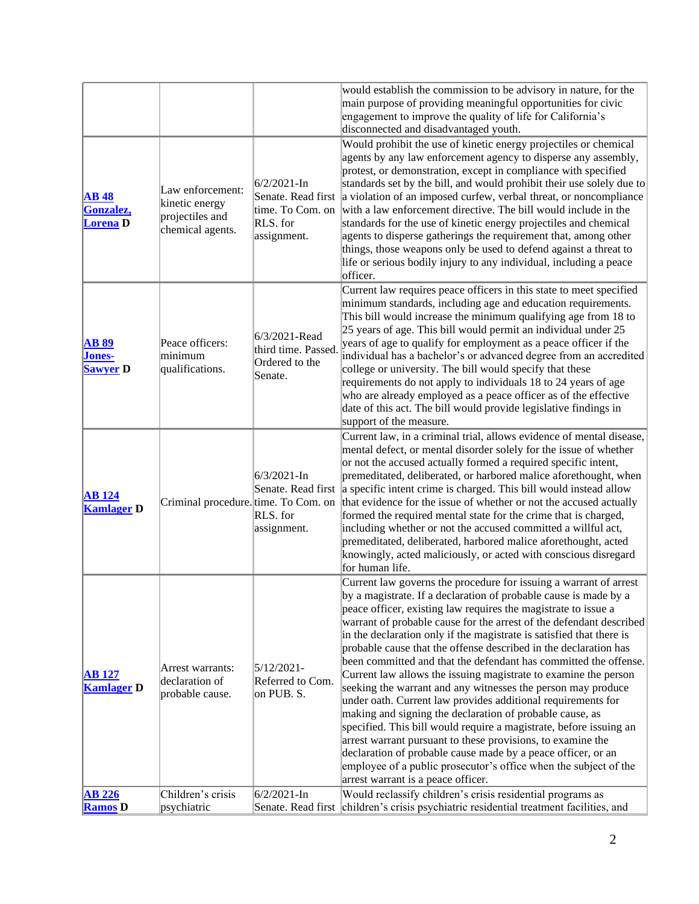|                                                  |                                                                           |                                                                   | would establish the commission to be advisory in nature, for the<br>main purpose of providing meaningful opportunities for civic<br>engagement to improve the quality of life for California's<br>disconnected and disadvantaged youth.                                                                                                                                                                                                                                                                                                                                                                                                                                                                                                                                                                                                                                                                                                                                                                                                                                      |
|--------------------------------------------------|---------------------------------------------------------------------------|-------------------------------------------------------------------|------------------------------------------------------------------------------------------------------------------------------------------------------------------------------------------------------------------------------------------------------------------------------------------------------------------------------------------------------------------------------------------------------------------------------------------------------------------------------------------------------------------------------------------------------------------------------------------------------------------------------------------------------------------------------------------------------------------------------------------------------------------------------------------------------------------------------------------------------------------------------------------------------------------------------------------------------------------------------------------------------------------------------------------------------------------------------|
| <b>AB</b> 48<br>Gonzalez,<br>Lorena <sub>D</sub> | Law enforcement:<br>kinetic energy<br>projectiles and<br>chemical agents. | $6/2/2021 - In$<br>time. To Com. on<br>RLS. for<br>assignment.    | Would prohibit the use of kinetic energy projectiles or chemical<br>agents by any law enforcement agency to disperse any assembly,<br>protest, or demonstration, except in compliance with specified<br>standards set by the bill, and would prohibit their use solely due to<br>Senate. Read first a violation of an imposed curfew, verbal threat, or noncompliance<br>with a law enforcement directive. The bill would include in the<br>standards for the use of kinetic energy projectiles and chemical<br>agents to disperse gatherings the requirement that, among other<br>things, those weapons only be used to defend against a threat to<br>life or serious bodily injury to any individual, including a peace<br>officer.                                                                                                                                                                                                                                                                                                                                        |
| <b>AB 89</b><br>Jones-<br><b>Sawyer D</b>        | Peace officers:<br>minimum<br>qualifications.                             | 6/3/2021-Read<br>third time. Passed.<br>Ordered to the<br>Senate. | Current law requires peace officers in this state to meet specified<br>minimum standards, including age and education requirements.<br>This bill would increase the minimum qualifying age from 18 to<br>25 years of age. This bill would permit an individual under 25<br>years of age to qualify for employment as a peace officer if the<br>individual has a bachelor's or advanced degree from an accredited<br>college or university. The bill would specify that these<br>requirements do not apply to individuals 18 to 24 years of age<br>who are already employed as a peace officer as of the effective<br>date of this act. The bill would provide legislative findings in<br>support of the measure.                                                                                                                                                                                                                                                                                                                                                             |
| <b>AB</b> 124<br><b>Kamlager D</b>               | Criminal procedure. time. To Com. on                                      | $6/3/2021 - In$<br>RLS. for<br>assignment.                        | Current law, in a criminal trial, allows evidence of mental disease,<br>mental defect, or mental disorder solely for the issue of whether<br>or not the accused actually formed a required specific intent,<br>premeditated, deliberated, or harbored malice aforethought, when<br>Senate. Read first a specific intent crime is charged. This bill would instead allow<br>that evidence for the issue of whether or not the accused actually<br>formed the required mental state for the crime that is charged,<br>including whether or not the accused committed a willful act,<br>premeditated, deliberated, harbored malice aforethought, acted<br>knowingly, acted maliciously, or acted with conscious disregard<br>for human life.                                                                                                                                                                                                                                                                                                                                    |
| <b>AB</b> 127<br><b>Kamlager</b> D               | Arrest warrants:<br>declaration of<br>probable cause.                     | $5/12/2021 -$<br>Referred to Com.<br>on PUB. S.                   | Current law governs the procedure for issuing a warrant of arrest<br>by a magistrate. If a declaration of probable cause is made by a<br>peace officer, existing law requires the magistrate to issue a<br>warrant of probable cause for the arrest of the defendant described<br>in the declaration only if the magistrate is satisfied that there is<br>probable cause that the offense described in the declaration has<br>been committed and that the defendant has committed the offense.<br>Current law allows the issuing magistrate to examine the person<br>seeking the warrant and any witnesses the person may produce<br>under oath. Current law provides additional requirements for<br>making and signing the declaration of probable cause, as<br>specified. This bill would require a magistrate, before issuing an<br>arrest warrant pursuant to these provisions, to examine the<br>declaration of probable cause made by a peace officer, or an<br>employee of a public prosecutor's office when the subject of the<br>arrest warrant is a peace officer. |
| <b>AB 226</b><br><b>Ramos D</b>                  | Children's crisis<br>psychiatric                                          | $6/2/2021 - In$                                                   | Would reclassify children's crisis residential programs as<br>Senate. Read first children's crisis psychiatric residential treatment facilities, and                                                                                                                                                                                                                                                                                                                                                                                                                                                                                                                                                                                                                                                                                                                                                                                                                                                                                                                         |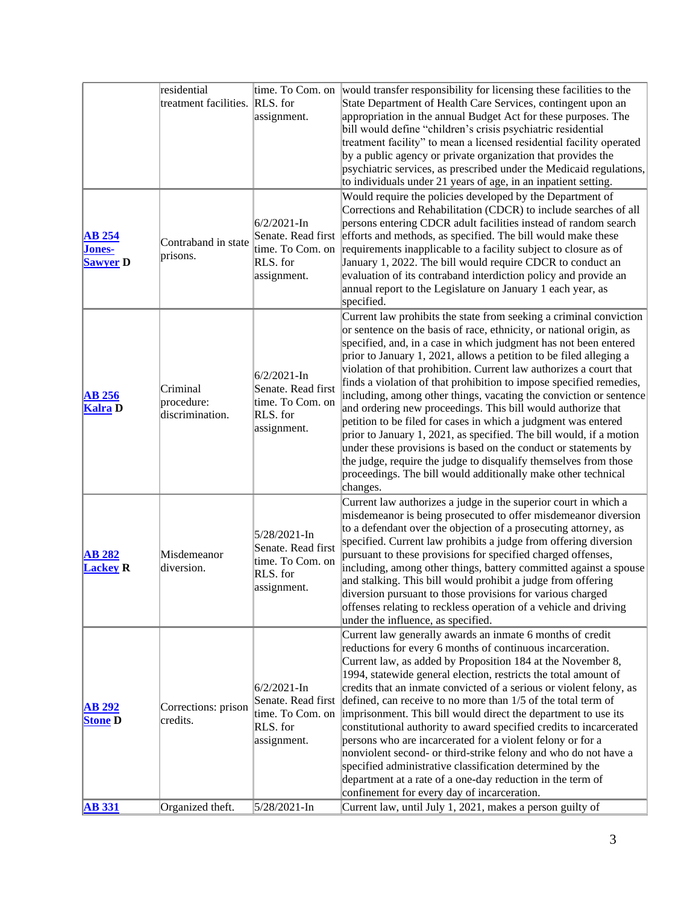|                                                   | residential                               | time. To Com. on                                                                     | would transfer responsibility for licensing these facilities to the                                                                                                                                                                                                                                                                                                                                                                                                                                                                                                                                                                                                                                                                                                                                                                                                                                                                 |
|---------------------------------------------------|-------------------------------------------|--------------------------------------------------------------------------------------|-------------------------------------------------------------------------------------------------------------------------------------------------------------------------------------------------------------------------------------------------------------------------------------------------------------------------------------------------------------------------------------------------------------------------------------------------------------------------------------------------------------------------------------------------------------------------------------------------------------------------------------------------------------------------------------------------------------------------------------------------------------------------------------------------------------------------------------------------------------------------------------------------------------------------------------|
|                                                   | treatment facilities. RLS. for            | assignment.                                                                          | State Department of Health Care Services, contingent upon an<br>appropriation in the annual Budget Act for these purposes. The<br>bill would define "children's crisis psychiatric residential<br>treatment facility" to mean a licensed residential facility operated                                                                                                                                                                                                                                                                                                                                                                                                                                                                                                                                                                                                                                                              |
|                                                   |                                           |                                                                                      | by a public agency or private organization that provides the<br>psychiatric services, as prescribed under the Medicaid regulations,                                                                                                                                                                                                                                                                                                                                                                                                                                                                                                                                                                                                                                                                                                                                                                                                 |
| <b>AB 254</b><br><b>Jones-</b><br><b>Sawyer</b> D | Contraband in state<br>prisons.           | $6/2/2021$ -In<br>RLS. for<br>assignment.                                            | to individuals under 21 years of age, in an inpatient setting.<br>Would require the policies developed by the Department of<br>Corrections and Rehabilitation (CDCR) to include searches of all<br>persons entering CDCR adult facilities instead of random search<br>Senate. Read first efforts and methods, as specified. The bill would make these<br>time. To Com. on requirements inapplicable to a facility subject to closure as of<br>January 1, 2022. The bill would require CDCR to conduct an<br>evaluation of its contraband interdiction policy and provide an                                                                                                                                                                                                                                                                                                                                                         |
|                                                   |                                           |                                                                                      | annual report to the Legislature on January 1 each year, as<br>specified.                                                                                                                                                                                                                                                                                                                                                                                                                                                                                                                                                                                                                                                                                                                                                                                                                                                           |
| <b>AB 256</b><br><b>Kalra</b> D                   | Criminal<br>procedure:<br>discrimination. | $6/2/2021 - In$<br>Senate. Read first<br>time. To Com. on<br>RLS. for<br>assignment. | Current law prohibits the state from seeking a criminal conviction<br>or sentence on the basis of race, ethnicity, or national origin, as<br>specified, and, in a case in which judgment has not been entered<br>prior to January 1, 2021, allows a petition to be filed alleging a<br>violation of that prohibition. Current law authorizes a court that<br>finds a violation of that prohibition to impose specified remedies,<br>including, among other things, vacating the conviction or sentence<br>and ordering new proceedings. This bill would authorize that<br>petition to be filed for cases in which a judgment was entered<br>prior to January 1, 2021, as specified. The bill would, if a motion<br>under these provisions is based on the conduct or statements by<br>the judge, require the judge to disqualify themselves from those<br>proceedings. The bill would additionally make other technical<br>changes. |
| <b>AB 282</b><br><b>Lackey R</b>                  | Misdemeanor<br>diversion.                 | 5/28/2021-In<br>Senate. Read first<br>time. To Com. on<br>RLS. for<br>assignment.    | Current law authorizes a judge in the superior court in which a<br>misdemeanor is being prosecuted to offer misdemeanor diversion<br>to a defendant over the objection of a prosecuting attorney, as<br>specified. Current law prohibits a judge from offering diversion<br>pursuant to these provisions for specified charged offenses,<br>including, among other things, battery committed against a spouse<br>and stalking. This bill would prohibit a judge from offering<br>diversion pursuant to those provisions for various charged<br>offenses relating to reckless operation of a vehicle and driving<br>under the influence, as specified.                                                                                                                                                                                                                                                                               |
| <b>AB 292</b><br><b>Stone D</b>                   | Corrections: prison<br>credits.           | $6/2/2021 - In$<br>Senate. Read first<br>time. To Com. on<br>RLS. for<br>assignment. | Current law generally awards an inmate 6 months of credit<br>reductions for every 6 months of continuous incarceration.<br>Current law, as added by Proposition 184 at the November 8,<br>1994, statewide general election, restricts the total amount of<br>credits that an inmate convicted of a serious or violent felony, as<br>defined, can receive to no more than 1/5 of the total term of<br>imprisonment. This bill would direct the department to use its<br>constitutional authority to award specified credits to incarcerated<br>persons who are incarcerated for a violent felony or for a<br>nonviolent second- or third-strike felony and who do not have a<br>specified administrative classification determined by the<br>department at a rate of a one-day reduction in the term of<br>confinement for every day of incarceration.                                                                               |
| <b>AB</b> 331                                     | Organized theft.                          | 5/28/2021-In                                                                         | Current law, until July 1, 2021, makes a person guilty of                                                                                                                                                                                                                                                                                                                                                                                                                                                                                                                                                                                                                                                                                                                                                                                                                                                                           |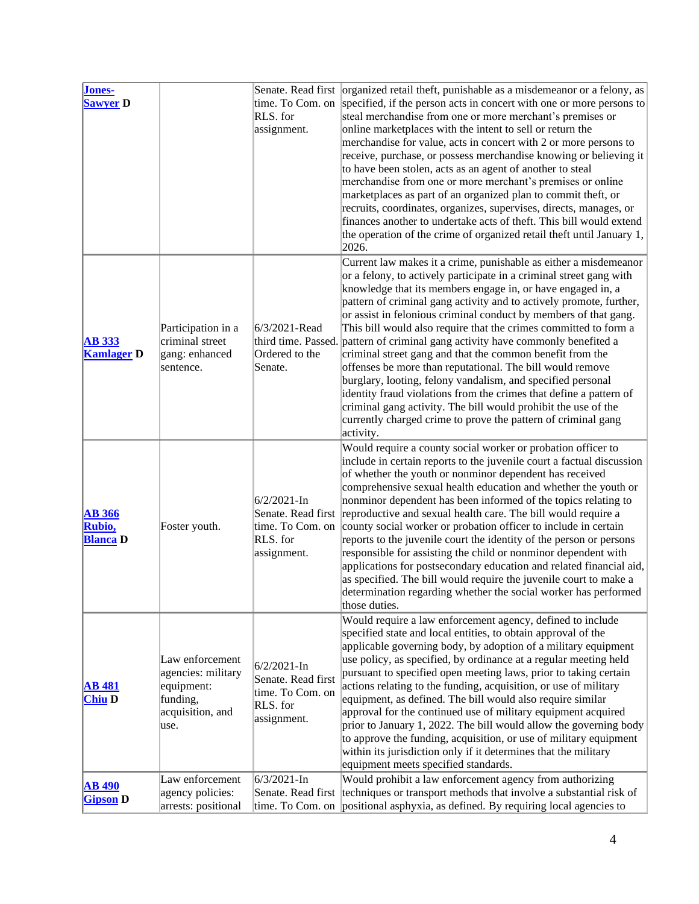| Jones-<br><b>Sawyer</b> D                  |                                                                                             | time. To Com. on<br>RLS. for<br>assignment.                                         | Senate. Read first   organized retail theft, punishable as a misdemeanor or a felony, as<br>specified, if the person acts in concert with one or more persons to<br>steal merchandise from one or more merchant's premises or<br>online marketplaces with the intent to sell or return the<br>merchandise for value, acts in concert with 2 or more persons to<br>receive, purchase, or possess merchandise knowing or believing it<br>to have been stolen, acts as an agent of another to steal<br>merchandise from one or more merchant's premises or online<br>marketplaces as part of an organized plan to commit theft, or<br>recruits, coordinates, organizes, supervises, directs, manages, or<br>finances another to undertake acts of theft. This bill would extend<br>the operation of the crime of organized retail theft until January 1,<br>2026.                                                          |
|--------------------------------------------|---------------------------------------------------------------------------------------------|-------------------------------------------------------------------------------------|-------------------------------------------------------------------------------------------------------------------------------------------------------------------------------------------------------------------------------------------------------------------------------------------------------------------------------------------------------------------------------------------------------------------------------------------------------------------------------------------------------------------------------------------------------------------------------------------------------------------------------------------------------------------------------------------------------------------------------------------------------------------------------------------------------------------------------------------------------------------------------------------------------------------------|
| <b>AB</b> 333<br><b>Kamlager D</b>         | Participation in a<br>criminal street<br>gang: enhanced<br>sentence.                        | 6/3/2021-Read<br>Ordered to the<br>Senate.                                          | Current law makes it a crime, punishable as either a misdemeanor<br>or a felony, to actively participate in a criminal street gang with<br>knowledge that its members engage in, or have engaged in, a<br>pattern of criminal gang activity and to actively promote, further,<br>or assist in felonious criminal conduct by members of that gang.<br>This bill would also require that the crimes committed to form a<br>third time. Passed. pattern of criminal gang activity have commonly benefited a<br>criminal street gang and that the common benefit from the<br>offenses be more than reputational. The bill would remove<br>burglary, looting, felony vandalism, and specified personal<br>identity fraud violations from the crimes that define a pattern of<br>criminal gang activity. The bill would prohibit the use of the<br>currently charged crime to prove the pattern of criminal gang<br>activity. |
| <b>AB</b> 366<br>Rubio,<br><b>Blanca</b> D | Foster youth.                                                                               | $6/2/2021$ -In<br>time. To Com. on<br>RLS. for<br>assignment.                       | Would require a county social worker or probation officer to<br>include in certain reports to the juvenile court a factual discussion<br>of whether the youth or nonminor dependent has received<br>comprehensive sexual health education and whether the youth or<br>nonminor dependent has been informed of the topics relating to<br>Senate. Read first reproductive and sexual health care. The bill would require a<br>county social worker or probation officer to include in certain<br>reports to the juvenile court the identity of the person or persons<br>responsible for assisting the child or nonminor dependent with<br>applications for postsecondary education and related financial aid,<br>as specified. The bill would require the juvenile court to make a<br>determination regarding whether the social worker has performed<br>those duties.                                                    |
| <b>AB</b> 481<br><b>Chiu D</b>             | Law enforcement<br>agencies: military<br>equipment:<br>funding,<br>acquisition, and<br>use. | $6/2/2021$ -In<br>Senate. Read first<br>time. To Com. on<br>RLS. for<br>assignment. | Would require a law enforcement agency, defined to include<br>specified state and local entities, to obtain approval of the<br>applicable governing body, by adoption of a military equipment<br>use policy, as specified, by ordinance at a regular meeting held<br>pursuant to specified open meeting laws, prior to taking certain<br>actions relating to the funding, acquisition, or use of military<br>equipment, as defined. The bill would also require similar<br>approval for the continued use of military equipment acquired<br>prior to January 1, 2022. The bill would allow the governing body<br>to approve the funding, acquisition, or use of military equipment<br>within its jurisdiction only if it determines that the military<br>equipment meets specified standards.                                                                                                                           |
| <b>AB</b> 490<br><b>Gipson</b> D           | Law enforcement<br>agency policies:<br>arrests: positional                                  | $6/3/2021 - In$                                                                     | Would prohibit a law enforcement agency from authorizing<br>Senate. Read first techniques or transport methods that involve a substantial risk of<br>time. To Com. on positional asphyxia, as defined. By requiring local agencies to                                                                                                                                                                                                                                                                                                                                                                                                                                                                                                                                                                                                                                                                                   |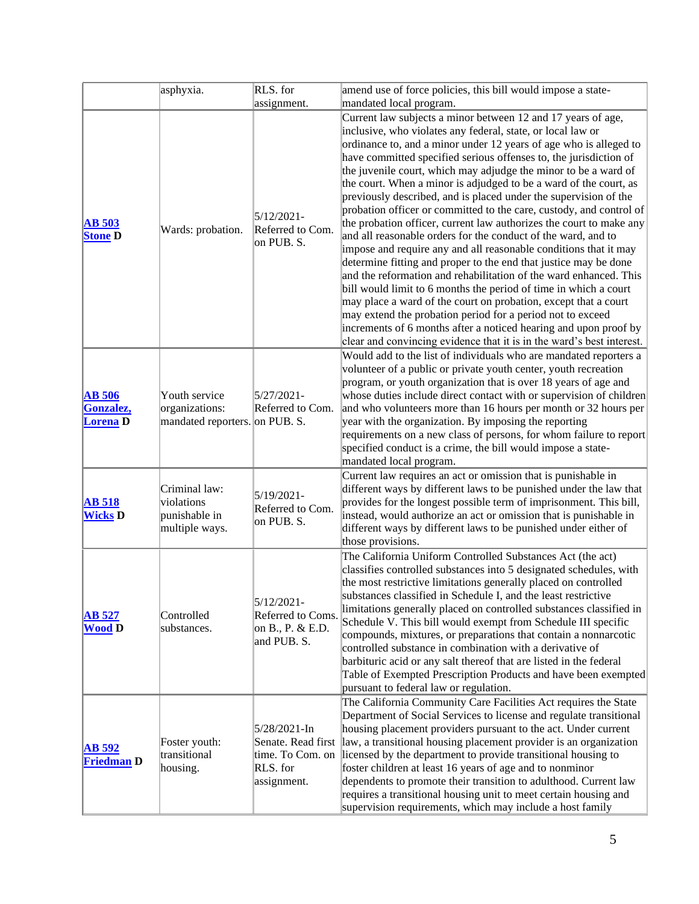|                                               | asphyxia.                                                         | RLS. for                                                                          | amend use of force policies, this bill would impose a state-                                                                                                                                                                                                                                                                                                                                                                                                                                                                                                                                                                                                                                                                                                                                                                                                                                                                                                                                                                                                                                                                                                                                                                                                    |
|-----------------------------------------------|-------------------------------------------------------------------|-----------------------------------------------------------------------------------|-----------------------------------------------------------------------------------------------------------------------------------------------------------------------------------------------------------------------------------------------------------------------------------------------------------------------------------------------------------------------------------------------------------------------------------------------------------------------------------------------------------------------------------------------------------------------------------------------------------------------------------------------------------------------------------------------------------------------------------------------------------------------------------------------------------------------------------------------------------------------------------------------------------------------------------------------------------------------------------------------------------------------------------------------------------------------------------------------------------------------------------------------------------------------------------------------------------------------------------------------------------------|
|                                               |                                                                   | assignment.                                                                       | mandated local program.                                                                                                                                                                                                                                                                                                                                                                                                                                                                                                                                                                                                                                                                                                                                                                                                                                                                                                                                                                                                                                                                                                                                                                                                                                         |
| <b>AB 503</b><br><b>Stone D</b>               | Wards: probation.                                                 | $5/12/2021 -$<br>Referred to Com.<br>on PUB. S.                                   | Current law subjects a minor between 12 and 17 years of age,<br>inclusive, who violates any federal, state, or local law or<br>ordinance to, and a minor under 12 years of age who is alleged to<br>have committed specified serious offenses to, the jurisdiction of<br>the juvenile court, which may adjudge the minor to be a ward of<br>the court. When a minor is adjudged to be a ward of the court, as<br>previously described, and is placed under the supervision of the<br>probation officer or committed to the care, custody, and control of<br>the probation officer, current law authorizes the court to make any<br>and all reasonable orders for the conduct of the ward, and to<br>impose and require any and all reasonable conditions that it may<br>determine fitting and proper to the end that justice may be done<br>and the reformation and rehabilitation of the ward enhanced. This<br>bill would limit to 6 months the period of time in which a court<br>may place a ward of the court on probation, except that a court<br>may extend the probation period for a period not to exceed<br>increments of 6 months after a noticed hearing and upon proof by<br>clear and convincing evidence that it is in the ward's best interest. |
| <b>AB</b> 506<br>Gonzalez,<br><b>Lorena</b> D | Youth service<br>organizations:<br>mandated reporters. on PUB. S. | $5/27/2021 -$<br>Referred to Com.                                                 | Would add to the list of individuals who are mandated reporters a<br>volunteer of a public or private youth center, youth recreation<br>program, or youth organization that is over 18 years of age and<br>whose duties include direct contact with or supervision of children<br>and who volunteers more than 16 hours per month or 32 hours per<br>year with the organization. By imposing the reporting<br>requirements on a new class of persons, for whom failure to report<br>specified conduct is a crime, the bill would impose a state-<br>mandated local program.                                                                                                                                                                                                                                                                                                                                                                                                                                                                                                                                                                                                                                                                                     |
| <b>AB</b> 518<br><b>Wicks D</b>               | Criminal law:<br>violations<br>punishable in<br>multiple ways.    | 5/19/2021-<br>Referred to Com.<br>on PUB. S.                                      | Current law requires an act or omission that is punishable in<br>different ways by different laws to be punished under the law that<br>provides for the longest possible term of imprisonment. This bill,<br>instead, would authorize an act or omission that is punishable in<br>different ways by different laws to be punished under either of<br>those provisions.                                                                                                                                                                                                                                                                                                                                                                                                                                                                                                                                                                                                                                                                                                                                                                                                                                                                                          |
| <b>AB</b> 527<br><b>Wood D</b>                | Controlled<br>substances.                                         | $5/12/2021 -$<br>Referred to Coms.<br>on B., P. & E.D.<br>and PUB. S.             | The California Uniform Controlled Substances Act (the act)<br>classifies controlled substances into 5 designated schedules, with<br>the most restrictive limitations generally placed on controlled<br>substances classified in Schedule I, and the least restrictive<br>limitations generally placed on controlled substances classified in<br>Schedule V. This bill would exempt from Schedule III specific<br>compounds, mixtures, or preparations that contain a nonnarcotic<br>controlled substance in combination with a derivative of<br>barbituric acid or any salt thereof that are listed in the federal<br>Table of Exempted Prescription Products and have been exempted<br>pursuant to federal law or regulation.                                                                                                                                                                                                                                                                                                                                                                                                                                                                                                                                  |
| <b>AB</b> 592<br><b>Friedman D</b>            | Foster youth:<br>transitional<br>housing.                         | 5/28/2021-In<br>Senate. Read first<br>time. To Com. on<br>RLS. for<br>assignment. | The California Community Care Facilities Act requires the State<br>Department of Social Services to license and regulate transitional<br>housing placement providers pursuant to the act. Under current<br>law, a transitional housing placement provider is an organization<br>licensed by the department to provide transitional housing to<br>foster children at least 16 years of age and to nonminor<br>dependents to promote their transition to adulthood. Current law<br>requires a transitional housing unit to meet certain housing and<br>supervision requirements, which may include a host family                                                                                                                                                                                                                                                                                                                                                                                                                                                                                                                                                                                                                                                  |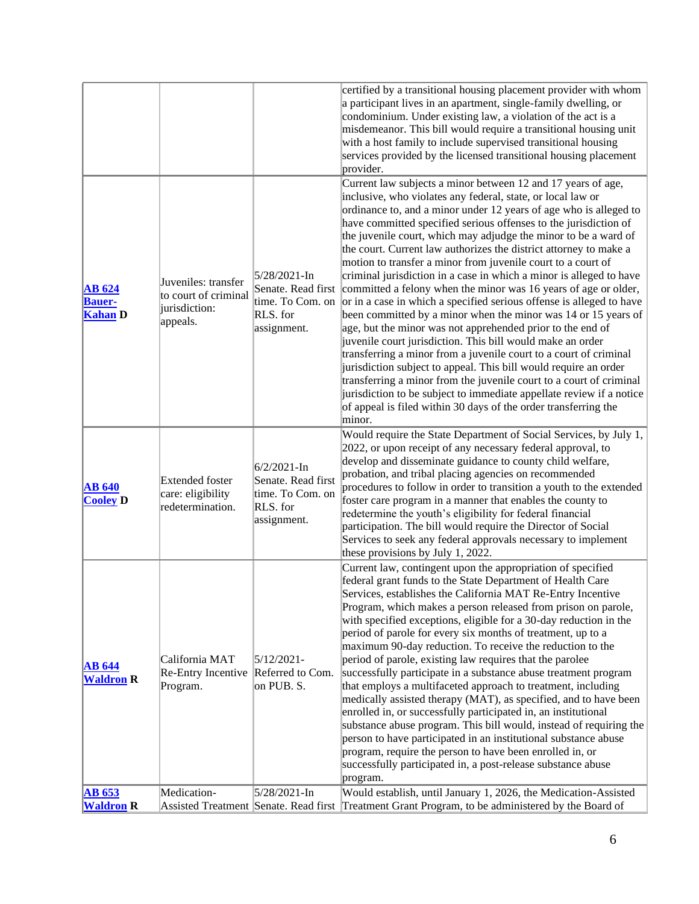|                                                  |                                                                          |                                                                                      | certified by a transitional housing placement provider with whom<br>a participant lives in an apartment, single-family dwelling, or<br>condominium. Under existing law, a violation of the act is a<br>misdemeanor. This bill would require a transitional housing unit<br>with a host family to include supervised transitional housing<br>services provided by the licensed transitional housing placement<br>provider.                                                                                                                                                                                                                                                                                                                                                                                                                                                                                                                                                                                                                                                                                                                                                                                                                                         |
|--------------------------------------------------|--------------------------------------------------------------------------|--------------------------------------------------------------------------------------|-------------------------------------------------------------------------------------------------------------------------------------------------------------------------------------------------------------------------------------------------------------------------------------------------------------------------------------------------------------------------------------------------------------------------------------------------------------------------------------------------------------------------------------------------------------------------------------------------------------------------------------------------------------------------------------------------------------------------------------------------------------------------------------------------------------------------------------------------------------------------------------------------------------------------------------------------------------------------------------------------------------------------------------------------------------------------------------------------------------------------------------------------------------------------------------------------------------------------------------------------------------------|
| <b>AB</b> 624<br><b>Bauer-</b><br><b>Kahan</b> D | Juveniles: transfer<br>to court of criminal<br>jurisdiction:<br>appeals. | $5/28/2021$ -In<br>Senate. Read first<br>time. To Com. on<br>RLS. for<br>assignment. | Current law subjects a minor between 12 and 17 years of age,<br>inclusive, who violates any federal, state, or local law or<br>ordinance to, and a minor under 12 years of age who is alleged to<br>have committed specified serious offenses to the jurisdiction of<br>the juvenile court, which may adjudge the minor to be a ward of<br>the court. Current law authorizes the district attorney to make a<br>motion to transfer a minor from juvenile court to a court of<br>criminal jurisdiction in a case in which a minor is alleged to have<br>committed a felony when the minor was 16 years of age or older,<br>or in a case in which a specified serious offense is alleged to have<br>been committed by a minor when the minor was 14 or 15 years of<br>age, but the minor was not apprehended prior to the end of<br>juvenile court jurisdiction. This bill would make an order<br>transferring a minor from a juvenile court to a court of criminal<br>jurisdiction subject to appeal. This bill would require an order<br>transferring a minor from the juvenile court to a court of criminal<br>jurisdiction to be subject to immediate appellate review if a notice<br>of appeal is filed within 30 days of the order transferring the<br>minor. |
| <b>AB 640</b><br><b>Cooley D</b>                 | <b>Extended foster</b><br>care: eligibility<br>redetermination.          | $6/2/2021$ -In<br>Senate. Read first<br>time. To Com. on<br>RLS. for<br>assignment.  | Would require the State Department of Social Services, by July 1,<br>2022, or upon receipt of any necessary federal approval, to<br>develop and disseminate guidance to county child welfare,<br>probation, and tribal placing agencies on recommended<br>procedures to follow in order to transition a youth to the extended<br>foster care program in a manner that enables the county to<br>redetermine the youth's eligibility for federal financial<br>participation. The bill would require the Director of Social<br>Services to seek any federal approvals necessary to implement<br>these provisions by July 1, 2022.                                                                                                                                                                                                                                                                                                                                                                                                                                                                                                                                                                                                                                    |
| <b>AB</b> 644<br><b>Waldron R</b>                | California MAT<br>Re-Entry Incentive<br>Program.                         | $5/12/2021$ -<br>Referred to Com.<br>on PUB. S.                                      | Current law, contingent upon the appropriation of specified<br>federal grant funds to the State Department of Health Care<br>Services, establishes the California MAT Re-Entry Incentive<br>Program, which makes a person released from prison on parole,<br>with specified exceptions, eligible for a 30-day reduction in the<br>period of parole for every six months of treatment, up to a<br>maximum 90-day reduction. To receive the reduction to the<br>period of parole, existing law requires that the parolee<br>successfully participate in a substance abuse treatment program<br>that employs a multifaceted approach to treatment, including<br>medically assisted therapy (MAT), as specified, and to have been<br>enrolled in, or successfully participated in, an institutional<br>substance abuse program. This bill would, instead of requiring the<br>person to have participated in an institutional substance abuse<br>program, require the person to have been enrolled in, or<br>successfully participated in, a post-release substance abuse<br>program.                                                                                                                                                                                  |
| <b>AB</b> 653<br><b>Waldron R</b>                | Medication-                                                              | $5/28/2021 - In$                                                                     | Would establish, until January 1, 2026, the Medication-Assisted<br>Assisted Treatment Senate. Read first Treatment Grant Program, to be administered by the Board of                                                                                                                                                                                                                                                                                                                                                                                                                                                                                                                                                                                                                                                                                                                                                                                                                                                                                                                                                                                                                                                                                              |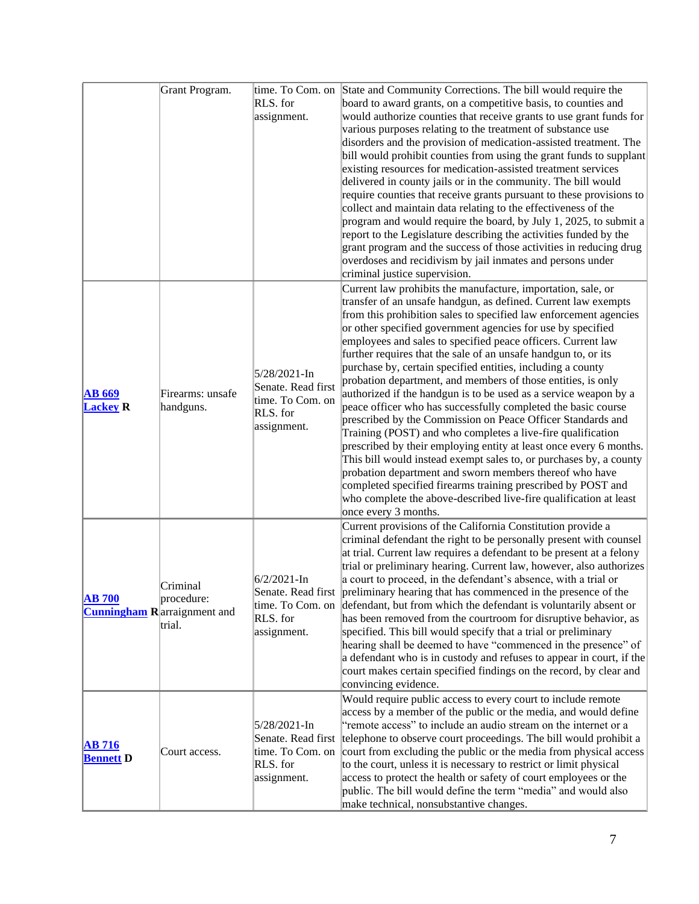|                                   | Grant Program.                                                          | RLS. for<br>assignment.                                                           | time. To Com. on State and Community Corrections. The bill would require the<br>board to award grants, on a competitive basis, to counties and<br>would authorize counties that receive grants to use grant funds for<br>various purposes relating to the treatment of substance use<br>disorders and the provision of medication-assisted treatment. The<br>bill would prohibit counties from using the grant funds to supplant<br>existing resources for medication-assisted treatment services<br>delivered in county jails or in the community. The bill would<br>require counties that receive grants pursuant to these provisions to<br>collect and maintain data relating to the effectiveness of the<br>program and would require the board, by July 1, 2025, to submit a<br>report to the Legislature describing the activities funded by the<br>grant program and the success of those activities in reducing drug<br>overdoses and recidivism by jail inmates and persons under<br>criminal justice supervision.                                                                                                                                                |
|-----------------------------------|-------------------------------------------------------------------------|-----------------------------------------------------------------------------------|----------------------------------------------------------------------------------------------------------------------------------------------------------------------------------------------------------------------------------------------------------------------------------------------------------------------------------------------------------------------------------------------------------------------------------------------------------------------------------------------------------------------------------------------------------------------------------------------------------------------------------------------------------------------------------------------------------------------------------------------------------------------------------------------------------------------------------------------------------------------------------------------------------------------------------------------------------------------------------------------------------------------------------------------------------------------------------------------------------------------------------------------------------------------------|
| <b>AB 669</b><br><b>Lackey R</b>  | Firearms: unsafe<br>handguns.                                           | 5/28/2021-In<br>Senate. Read first<br>time. To Com. on<br>RLS. for<br>assignment. | Current law prohibits the manufacture, importation, sale, or<br>transfer of an unsafe handgun, as defined. Current law exempts<br>from this prohibition sales to specified law enforcement agencies<br>or other specified government agencies for use by specified<br>employees and sales to specified peace officers. Current law<br>further requires that the sale of an unsafe handgun to, or its<br>purchase by, certain specified entities, including a county<br>probation department, and members of those entities, is only<br>authorized if the handgun is to be used as a service weapon by a<br>peace officer who has successfully completed the basic course<br>prescribed by the Commission on Peace Officer Standards and<br>Training (POST) and who completes a live-fire qualification<br>prescribed by their employing entity at least once every 6 months.<br>This bill would instead exempt sales to, or purchases by, a county<br>probation department and sworn members thereof who have<br>completed specified firearms training prescribed by POST and<br>who complete the above-described live-fire qualification at least<br>once every 3 months. |
| <b>AB 700</b>                     | Criminal<br>procedure:<br><b>Cunningham R</b> arraignment and<br>trial. | $6/2/2021$ -In<br>RLS. for<br>assignment.                                         | Current provisions of the California Constitution provide a<br>criminal defendant the right to be personally present with counsel<br>at trial. Current law requires a defendant to be present at a felony<br>trial or preliminary hearing. Current law, however, also authorizes<br>a court to proceed, in the defendant's absence, with a trial or<br>Senate. Read first preliminary hearing that has commenced in the presence of the<br>time. To Com. on defendant, but from which the defendant is voluntarily absent or<br>has been removed from the courtroom for disruptive behavior, as<br>specified. This bill would specify that a trial or preliminary<br>hearing shall be deemed to have "commenced in the presence" of<br>a defendant who is in custody and refuses to appear in court, if the<br>court makes certain specified findings on the record, by clear and<br>convincing evidence.                                                                                                                                                                                                                                                                  |
| <b>AB</b> 716<br><b>Bennett</b> D | Court access.                                                           | 5/28/2021-In<br>Senate. Read first<br>time. To Com. on<br>RLS. for<br>assignment. | Would require public access to every court to include remote<br>access by a member of the public or the media, and would define<br>"remote access" to include an audio stream on the internet or a<br>telephone to observe court proceedings. The bill would prohibit a<br>court from excluding the public or the media from physical access<br>to the court, unless it is necessary to restrict or limit physical<br>access to protect the health or safety of court employees or the<br>public. The bill would define the term "media" and would also<br>make technical, nonsubstantive changes.                                                                                                                                                                                                                                                                                                                                                                                                                                                                                                                                                                         |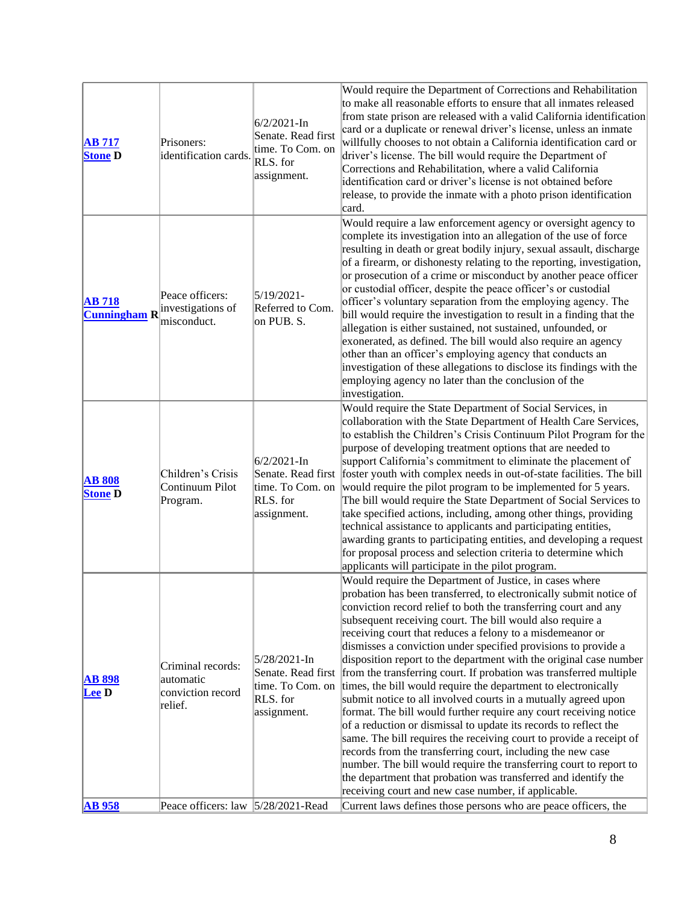| <b>AB 717</b><br><b>Stone D</b>      | Prisoners:<br>identification cards.                            | $6/2/2021 - In$<br>Senate. Read first<br>time. To Com. on<br>RLS. for<br>assignment. | Would require the Department of Corrections and Rehabilitation<br>to make all reasonable efforts to ensure that all inmates released<br>from state prison are released with a valid California identification<br>card or a duplicate or renewal driver's license, unless an inmate<br>willfully chooses to not obtain a California identification card or<br>driver's license. The bill would require the Department of<br>Corrections and Rehabilitation, where a valid California<br>identification card or driver's license is not obtained before<br>release, to provide the inmate with a photo prison identification<br>card.                                                                                                                                                                                                                                                                                                                                                                                                                                                                                                                                           |
|--------------------------------------|----------------------------------------------------------------|--------------------------------------------------------------------------------------|-------------------------------------------------------------------------------------------------------------------------------------------------------------------------------------------------------------------------------------------------------------------------------------------------------------------------------------------------------------------------------------------------------------------------------------------------------------------------------------------------------------------------------------------------------------------------------------------------------------------------------------------------------------------------------------------------------------------------------------------------------------------------------------------------------------------------------------------------------------------------------------------------------------------------------------------------------------------------------------------------------------------------------------------------------------------------------------------------------------------------------------------------------------------------------|
| <b>AB</b> 718<br><b>Cunningham R</b> | Peace officers:<br>investigations of<br>misconduct.            | $5/19/2021 -$<br>Referred to Com.<br>on PUB. S.                                      | Would require a law enforcement agency or oversight agency to<br>complete its investigation into an allegation of the use of force<br>resulting in death or great bodily injury, sexual assault, discharge<br>of a firearm, or dishonesty relating to the reporting, investigation,<br>or prosecution of a crime or misconduct by another peace officer<br>or custodial officer, despite the peace officer's or custodial<br>officer's voluntary separation from the employing agency. The<br>bill would require the investigation to result in a finding that the<br>allegation is either sustained, not sustained, unfounded, or<br>exonerated, as defined. The bill would also require an agency<br>other than an officer's employing agency that conducts an<br>investigation of these allegations to disclose its findings with the<br>employing agency no later than the conclusion of the<br>investigation.                                                                                                                                                                                                                                                            |
| <b>AB 808</b><br><b>Stone D</b>      | Children's Crisis<br>Continuum Pilot<br>Program.               | $6/2/2021$ -In<br>Senate. Read first<br>time. To Com. on<br>RLS. for<br>assignment.  | Would require the State Department of Social Services, in<br>collaboration with the State Department of Health Care Services,<br>to establish the Children's Crisis Continuum Pilot Program for the<br>purpose of developing treatment options that are needed to<br>support California's commitment to eliminate the placement of<br>foster youth with complex needs in out-of-state facilities. The bill<br>would require the pilot program to be implemented for 5 years.<br>The bill would require the State Department of Social Services to<br>take specified actions, including, among other things, providing<br>technical assistance to applicants and participating entities,<br>awarding grants to participating entities, and developing a request<br>for proposal process and selection criteria to determine which<br>applicants will participate in the pilot program.                                                                                                                                                                                                                                                                                         |
| <b>AB 898</b><br><b>Lee</b> D        | Criminal records:<br>automatic<br>conviction record<br>relief. | 5/28/2021-In<br>time. To Com. on<br>RLS. for<br>assignment.                          | Would require the Department of Justice, in cases where<br>probation has been transferred, to electronically submit notice of<br>conviction record relief to both the transferring court and any<br>subsequent receiving court. The bill would also require a<br>receiving court that reduces a felony to a misdemeanor or<br>dismisses a conviction under specified provisions to provide a<br>disposition report to the department with the original case number<br>Senate. Read first from the transferring court. If probation was transferred multiple<br>times, the bill would require the department to electronically<br>submit notice to all involved courts in a mutually agreed upon<br>format. The bill would further require any court receiving notice<br>of a reduction or dismissal to update its records to reflect the<br>same. The bill requires the receiving court to provide a receipt of<br>records from the transferring court, including the new case<br>number. The bill would require the transferring court to report to<br>the department that probation was transferred and identify the<br>receiving court and new case number, if applicable. |
| <b>AB</b> 958                        | Peace officers: law  5/28/2021-Read                            |                                                                                      | Current laws defines those persons who are peace officers, the                                                                                                                                                                                                                                                                                                                                                                                                                                                                                                                                                                                                                                                                                                                                                                                                                                                                                                                                                                                                                                                                                                                |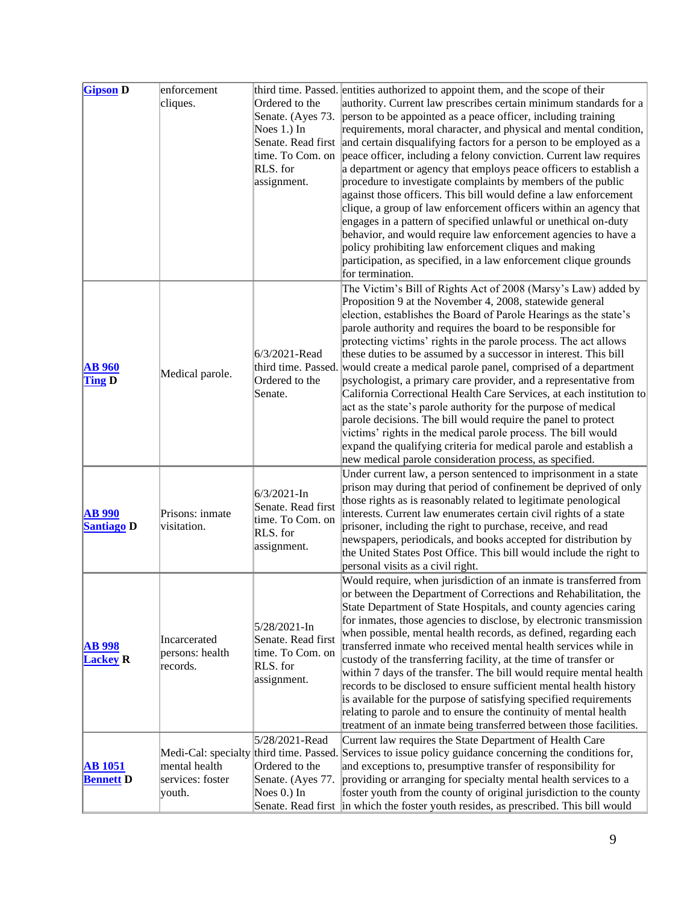| <b>Gipson D</b>                    | enforcement<br>cliques.                     | Ordered to the<br>Senate. (Ayes 73.<br>Noes 1.) In<br>RLS. for<br>assignment.        | third time. Passed. entities authorized to appoint them, and the scope of their<br>authority. Current law prescribes certain minimum standards for a<br>person to be appointed as a peace officer, including training<br>requirements, moral character, and physical and mental condition,<br>Senate. Read first and certain disqualifying factors for a person to be employed as a<br>time. To Com. on peace officer, including a felony conviction. Current law requires<br>a department or agency that employs peace officers to establish a<br>procedure to investigate complaints by members of the public<br>against those officers. This bill would define a law enforcement<br>clique, a group of law enforcement officers within an agency that<br>engages in a pattern of specified unlawful or unethical on-duty<br>behavior, and would require law enforcement agencies to have a<br>policy prohibiting law enforcement cliques and making<br>participation, as specified, in a law enforcement clique grounds<br>for termination. |
|------------------------------------|---------------------------------------------|--------------------------------------------------------------------------------------|------------------------------------------------------------------------------------------------------------------------------------------------------------------------------------------------------------------------------------------------------------------------------------------------------------------------------------------------------------------------------------------------------------------------------------------------------------------------------------------------------------------------------------------------------------------------------------------------------------------------------------------------------------------------------------------------------------------------------------------------------------------------------------------------------------------------------------------------------------------------------------------------------------------------------------------------------------------------------------------------------------------------------------------------|
| <b>AB</b> 960<br><b>Ting D</b>     | Medical parole.                             | 6/3/2021-Read<br>Ordered to the<br>Senate.                                           | The Victim's Bill of Rights Act of 2008 (Marsy's Law) added by<br>Proposition 9 at the November 4, 2008, statewide general<br>election, establishes the Board of Parole Hearings as the state's<br>parole authority and requires the board to be responsible for<br>protecting victims' rights in the parole process. The act allows<br>these duties to be assumed by a successor in interest. This bill<br>third time. Passed. would create a medical parole panel, comprised of a department<br>psychologist, a primary care provider, and a representative from<br>California Correctional Health Care Services, at each institution to<br>act as the state's parole authority for the purpose of medical<br>parole decisions. The bill would require the panel to protect<br>victims' rights in the medical parole process. The bill would<br>expand the qualifying criteria for medical parole and establish a<br>new medical parole consideration process, as specified.                                                                 |
| <b>AB</b> 990<br><b>Santiago D</b> | Prisons: inmate<br>visitation.              | $6/3/2021 - In$<br>Senate. Read first<br>time. To Com. on<br>RLS. for<br>assignment. | Under current law, a person sentenced to imprisonment in a state<br>prison may during that period of confinement be deprived of only<br>those rights as is reasonably related to legitimate penological<br>interests. Current law enumerates certain civil rights of a state<br>prisoner, including the right to purchase, receive, and read<br>newspapers, periodicals, and books accepted for distribution by<br>the United States Post Office. This bill would include the right to<br>personal visits as a civil right.                                                                                                                                                                                                                                                                                                                                                                                                                                                                                                                    |
| <b>AB 998</b><br><b>Lackey R</b>   | Incarcerated<br>persons: health<br>records. | 5/28/2021-In<br>Senate. Read first<br>time. To Com. on<br>RLS. for<br>assignment.    | Would require, when jurisdiction of an inmate is transferred from<br>or between the Department of Corrections and Rehabilitation, the<br>State Department of State Hospitals, and county agencies caring<br>for inmates, those agencies to disclose, by electronic transmission<br>when possible, mental health records, as defined, regarding each<br>transferred inmate who received mental health services while in<br>custody of the transferring facility, at the time of transfer or<br>within 7 days of the transfer. The bill would require mental health<br>records to be disclosed to ensure sufficient mental health history<br>is available for the purpose of satisfying specified requirements<br>relating to parole and to ensure the continuity of mental health<br>treatment of an inmate being transferred between those facilities.                                                                                                                                                                                         |
| <b>AB</b> 1051<br><b>Bennett</b> D | mental health<br>services: foster<br>youth. | 5/28/2021-Read<br>Ordered to the<br>Senate. (Ayes 77.<br>Noes 0.) In                 | Current law requires the State Department of Health Care<br>Medi-Cal: specialty third time. Passed. Services to issue policy guidance concerning the conditions for,<br>and exceptions to, presumptive transfer of responsibility for<br>providing or arranging for specialty mental health services to a<br>foster youth from the county of original jurisdiction to the county<br>Senate. Read first in which the foster youth resides, as prescribed. This bill would                                                                                                                                                                                                                                                                                                                                                                                                                                                                                                                                                                       |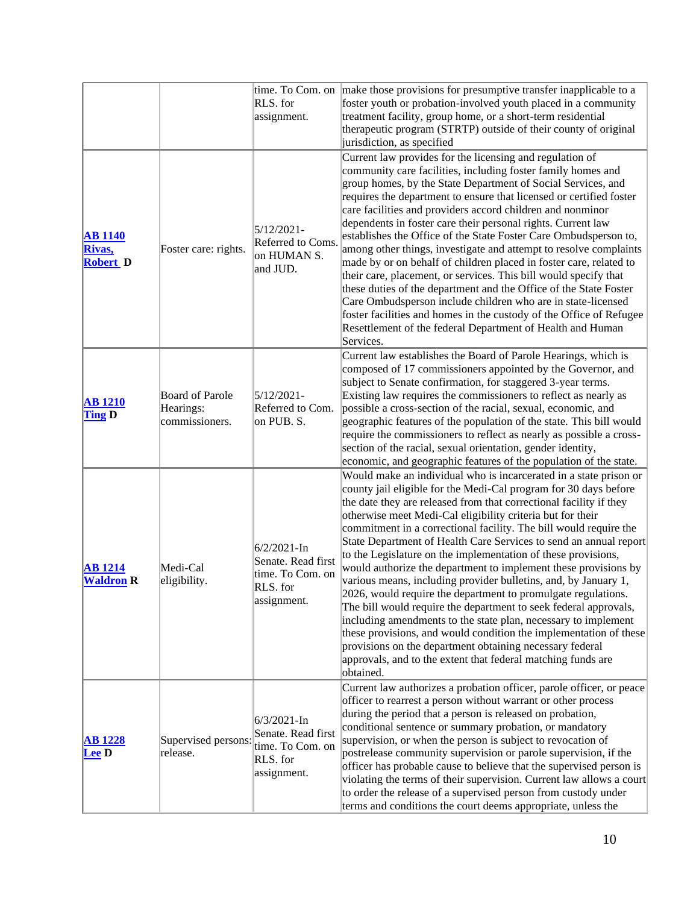|                                             |                                                       | RLS. for<br>assignment.                                                              | time. To Com. on make those provisions for presumptive transfer inapplicable to a<br>foster youth or probation-involved youth placed in a community<br>treatment facility, group home, or a short-term residential<br>therapeutic program (STRTP) outside of their county of original<br>jurisdiction, as specified                                                                                                                                                                                                                                                                                                                                                                                                                                                                                                                                                                                                                                                                                                                             |
|---------------------------------------------|-------------------------------------------------------|--------------------------------------------------------------------------------------|-------------------------------------------------------------------------------------------------------------------------------------------------------------------------------------------------------------------------------------------------------------------------------------------------------------------------------------------------------------------------------------------------------------------------------------------------------------------------------------------------------------------------------------------------------------------------------------------------------------------------------------------------------------------------------------------------------------------------------------------------------------------------------------------------------------------------------------------------------------------------------------------------------------------------------------------------------------------------------------------------------------------------------------------------|
| <b>AB</b> 1140<br>Rivas,<br><b>Robert D</b> | Foster care: rights.                                  | $5/12/2021 -$<br>Referred to Coms.<br>on HUMAN S.<br>and JUD.                        | Current law provides for the licensing and regulation of<br>community care facilities, including foster family homes and<br>group homes, by the State Department of Social Services, and<br>requires the department to ensure that licensed or certified foster<br>care facilities and providers accord children and nonminor<br>dependents in foster care their personal rights. Current law<br>establishes the Office of the State Foster Care Ombudsperson to,<br>among other things, investigate and attempt to resolve complaints<br>made by or on behalf of children placed in foster care, related to<br>their care, placement, or services. This bill would specify that<br>these duties of the department and the Office of the State Foster<br>Care Ombudsperson include children who are in state-licensed<br>foster facilities and homes in the custody of the Office of Refugee<br>Resettlement of the federal Department of Health and Human<br>Services.                                                                         |
| <b>AB</b> 1210<br><b>Ting D</b>             | <b>Board of Parole</b><br>Hearings:<br>commissioners. | $5/12/2021 -$<br>Referred to Com.<br>on PUB. S.                                      | Current law establishes the Board of Parole Hearings, which is<br>composed of 17 commissioners appointed by the Governor, and<br>subject to Senate confirmation, for staggered 3-year terms.<br>Existing law requires the commissioners to reflect as nearly as<br>possible a cross-section of the racial, sexual, economic, and<br>geographic features of the population of the state. This bill would<br>require the commissioners to reflect as nearly as possible a cross-<br>section of the racial, sexual orientation, gender identity,<br>economic, and geographic features of the population of the state.                                                                                                                                                                                                                                                                                                                                                                                                                              |
| <b>AB</b> 1214<br><b>Waldron R</b>          | Medi-Cal<br>eligibility.                              | $6/2/2021 - In$<br>Senate. Read first<br>time. To Com. on<br>RLS. for<br>assignment. | Would make an individual who is incarcerated in a state prison or<br>county jail eligible for the Medi-Cal program for 30 days before<br>the date they are released from that correctional facility if they<br>otherwise meet Medi-Cal eligibility criteria but for their<br>commitment in a correctional facility. The bill would require the<br>State Department of Health Care Services to send an annual report<br>to the Legislature on the implementation of these provisions,<br>would authorize the department to implement these provisions by<br>various means, including provider bulletins, and, by January 1,<br>2026, would require the department to promulgate regulations.<br>The bill would require the department to seek federal approvals,<br>including amendments to the state plan, necessary to implement<br>these provisions, and would condition the implementation of these<br>provisions on the department obtaining necessary federal<br>approvals, and to the extent that federal matching funds are<br>obtained. |
| <b>AB</b> 1228<br><b>Lee D</b>              | Supervised persons:<br>release.                       | $6/3/2021$ -In<br>Senate. Read first<br>time. To Com. on<br>RLS. for<br>assignment.  | Current law authorizes a probation officer, parole officer, or peace<br>officer to rearrest a person without warrant or other process<br>during the period that a person is released on probation,<br>conditional sentence or summary probation, or mandatory<br>supervision, or when the person is subject to revocation of<br>postrelease community supervision or parole supervision, if the<br>officer has probable cause to believe that the supervised person is<br>violating the terms of their supervision. Current law allows a court<br>to order the release of a supervised person from custody under<br>terms and conditions the court deems appropriate, unless the                                                                                                                                                                                                                                                                                                                                                                |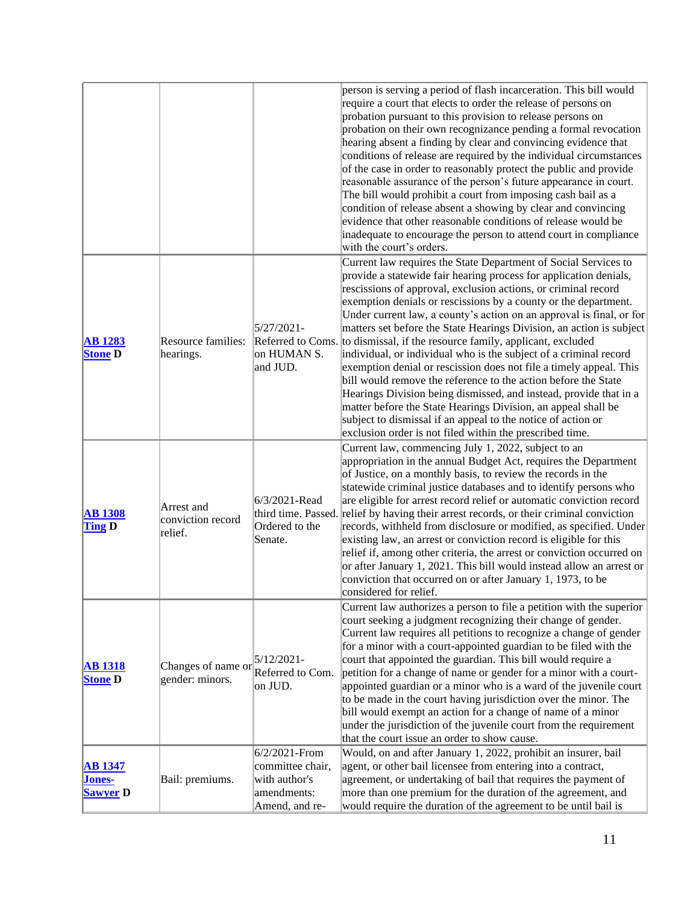| person is serving a period of flash incarceration. This bill would                                                                                                                                       |  |
|----------------------------------------------------------------------------------------------------------------------------------------------------------------------------------------------------------|--|
| require a court that elects to order the release of persons on                                                                                                                                           |  |
| probation pursuant to this provision to release persons on                                                                                                                                               |  |
| probation on their own recognizance pending a formal revocation                                                                                                                                          |  |
| hearing absent a finding by clear and convincing evidence that                                                                                                                                           |  |
| conditions of release are required by the individual circumstances                                                                                                                                       |  |
| of the case in order to reasonably protect the public and provide                                                                                                                                        |  |
| reasonable assurance of the person's future appearance in court.                                                                                                                                         |  |
| The bill would prohibit a court from imposing cash bail as a                                                                                                                                             |  |
| condition of release absent a showing by clear and convincing                                                                                                                                            |  |
| evidence that other reasonable conditions of release would be                                                                                                                                            |  |
| inadequate to encourage the person to attend court in compliance                                                                                                                                         |  |
| with the court's orders.                                                                                                                                                                                 |  |
| Current law requires the State Department of Social Services to                                                                                                                                          |  |
| provide a statewide fair hearing process for application denials,                                                                                                                                        |  |
| rescissions of approval, exclusion actions, or criminal record                                                                                                                                           |  |
| exemption denials or rescissions by a county or the department.                                                                                                                                          |  |
| Under current law, a county's action on an approval is final, or for                                                                                                                                     |  |
| $5/27/2021 -$<br>matters set before the State Hearings Division, an action is subject                                                                                                                    |  |
| Resource families:<br>Referred to Coms. to dismissal, if the resource family, applicant, excluded<br><b>AB</b> 1283                                                                                      |  |
| <b>Stone D</b><br>hearings.<br>on HUMAN S.<br>individual, or individual who is the subject of a criminal record                                                                                          |  |
| and JUD.<br>exemption denial or rescission does not file a timely appeal. This                                                                                                                           |  |
| bill would remove the reference to the action before the State                                                                                                                                           |  |
| Hearings Division being dismissed, and instead, provide that in a                                                                                                                                        |  |
| matter before the State Hearings Division, an appeal shall be                                                                                                                                            |  |
| subject to dismissal if an appeal to the notice of action or<br>exclusion order is not filed within the prescribed time.                                                                                 |  |
|                                                                                                                                                                                                          |  |
| Current law, commencing July 1, 2022, subject to an<br>appropriation in the annual Budget Act, requires the Department                                                                                   |  |
| of Justice, on a monthly basis, to review the records in the                                                                                                                                             |  |
| statewide criminal justice databases and to identify persons who                                                                                                                                         |  |
| 6/3/2021-Read<br>are eligible for arrest record relief or automatic conviction record                                                                                                                    |  |
| Arrest and<br>third time. Passed. relief by having their arrest records, or their criminal conviction<br><b>AB 1308</b>                                                                                  |  |
| conviction record<br>Ordered to the<br><b>Ting D</b><br>records, withheld from disclosure or modified, as specified. Under                                                                               |  |
| relief.<br>existing law, an arrest or conviction record is eligible for this<br>Senate.                                                                                                                  |  |
| relief if, among other criteria, the arrest or conviction occurred on                                                                                                                                    |  |
| or after January 1, 2021. This bill would instead allow an arrest or                                                                                                                                     |  |
| conviction that occurred on or after January 1, 1973, to be                                                                                                                                              |  |
| considered for relief.                                                                                                                                                                                   |  |
| Current law authorizes a person to file a petition with the superior                                                                                                                                     |  |
| court seeking a judgment recognizing their change of gender.                                                                                                                                             |  |
| Current law requires all petitions to recognize a change of gender                                                                                                                                       |  |
| for a minor with a court-appointed guardian to be filed with the                                                                                                                                         |  |
| $5/12/2021 -$<br>court that appointed the guardian. This bill would require a<br><b>AB</b> 1318<br>Changes of name or                                                                                    |  |
| Referred to Com.<br>petition for a change of name or gender for a minor with a court-<br>gender: minors.<br><b>Stone D</b>                                                                               |  |
| on JUD.<br>appointed guardian or a minor who is a ward of the juvenile court                                                                                                                             |  |
| to be made in the court having jurisdiction over the minor. The                                                                                                                                          |  |
| bill would exempt an action for a change of name of a minor                                                                                                                                              |  |
| under the jurisdiction of the juvenile court from the requirement                                                                                                                                        |  |
| that the court issue an order to show cause.                                                                                                                                                             |  |
| 6/2/2021-From<br>Would, on and after January 1, 2022, prohibit an insurer, bail                                                                                                                          |  |
| committee chair,<br>agent, or other bail licensee from entering into a contract,<br><b>AB</b> 1347<br>with author's<br>agreement, or undertaking of bail that requires the payment of<br>Bail: premiums. |  |
| Jones-<br>amendments:<br>more than one premium for the duration of the agreement, and<br><b>Sawyer D</b>                                                                                                 |  |
|                                                                                                                                                                                                          |  |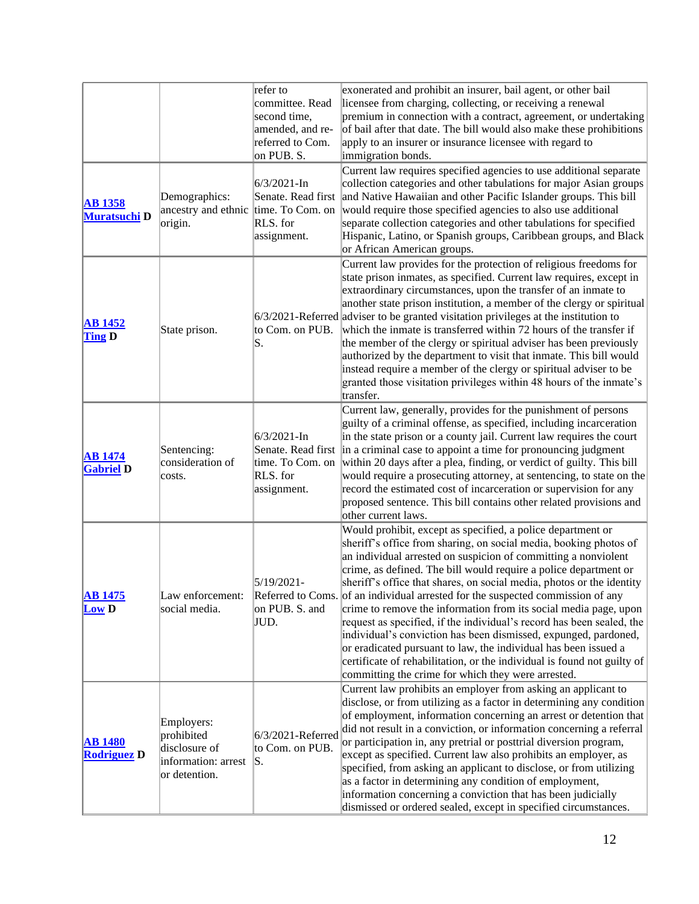|                                       |                                                                                   | refer to<br>committee. Read<br>second time,<br>amended, and re-<br>referred to Com.<br>on PUB. S. | exonerated and prohibit an insurer, bail agent, or other bail<br>licensee from charging, collecting, or receiving a renewal<br>premium in connection with a contract, agreement, or undertaking<br>of bail after that date. The bill would also make these prohibitions<br>apply to an insurer or insurance licensee with regard to<br>immigration bonds.                                                                                                                                                                                                                                                                                                                                                                                                                                                                                              |
|---------------------------------------|-----------------------------------------------------------------------------------|---------------------------------------------------------------------------------------------------|--------------------------------------------------------------------------------------------------------------------------------------------------------------------------------------------------------------------------------------------------------------------------------------------------------------------------------------------------------------------------------------------------------------------------------------------------------------------------------------------------------------------------------------------------------------------------------------------------------------------------------------------------------------------------------------------------------------------------------------------------------------------------------------------------------------------------------------------------------|
| <b>AB</b> 1358<br><b>Muratsuchi D</b> | Demographics:<br>ancestry and ethnic time. To Com. on<br>origin.                  | $6/3/2021$ -In<br>RLS. for<br>assignment.                                                         | Current law requires specified agencies to use additional separate<br>collection categories and other tabulations for major Asian groups<br>Senate. Read first and Native Hawaiian and other Pacific Islander groups. This bill<br>would require those specified agencies to also use additional<br>separate collection categories and other tabulations for specified<br>Hispanic, Latino, or Spanish groups, Caribbean groups, and Black<br>or African American groups.                                                                                                                                                                                                                                                                                                                                                                              |
| <b>AB 1452</b><br><b>Ting D</b>       | State prison.                                                                     | to Com. on PUB.<br>S.                                                                             | Current law provides for the protection of religious freedoms for<br>state prison inmates, as specified. Current law requires, except in<br>extraordinary circumstances, upon the transfer of an inmate to<br>another state prison institution, a member of the clergy or spiritual<br>6/3/2021-Referred adviser to be granted visitation privileges at the institution to<br>which the inmate is transferred within 72 hours of the transfer if<br>the member of the clergy or spiritual adviser has been previously<br>authorized by the department to visit that inmate. This bill would<br>instead require a member of the clergy or spiritual adviser to be<br>granted those visitation privileges within 48 hours of the inmate's<br>transfer.                                                                                                   |
| <b>AB</b> 1474<br><b>Gabriel D</b>    | Sentencing:<br>consideration of<br>costs.                                         | $6/3/2021$ -In<br>time. To Com. on<br>RLS. for<br>assignment.                                     | Current law, generally, provides for the punishment of persons<br>guilty of a criminal offense, as specified, including incarceration<br>in the state prison or a county jail. Current law requires the court<br>Senate. Read first in a criminal case to appoint a time for pronouncing judgment<br>within 20 days after a plea, finding, or verdict of guilty. This bill<br>would require a prosecuting attorney, at sentencing, to state on the<br>record the estimated cost of incarceration or supervision for any<br>proposed sentence. This bill contains other related provisions and<br>other current laws.                                                                                                                                                                                                                                   |
| <b>AB</b> 1475<br><b>Low D</b>        | Law enforcement:<br>social media.                                                 | 5/19/2021-<br>on PUB. S. and<br>JUD.                                                              | Would prohibit, except as specified, a police department or<br>sheriff's office from sharing, on social media, booking photos of<br>an individual arrested on suspicion of committing a nonviolent<br>crime, as defined. The bill would require a police department or<br>sheriff's office that shares, on social media, photos or the identity<br>Referred to Coms. of an individual arrested for the suspected commission of any<br>crime to remove the information from its social media page, upon<br>request as specified, if the individual's record has been sealed, the<br>individual's conviction has been dismissed, expunged, pardoned,<br>or eradicated pursuant to law, the individual has been issued a<br>certificate of rehabilitation, or the individual is found not guilty of<br>committing the crime for which they were arrested. |
| <b>AB 1480</b><br><b>Rodriguez D</b>  | Employers:<br>prohibited<br>disclosure of<br>information: arrest<br>or detention. | 6/3/2021-Referred<br>to Com. on PUB.<br>IS.                                                       | Current law prohibits an employer from asking an applicant to<br>disclose, or from utilizing as a factor in determining any condition<br>of employment, information concerning an arrest or detention that<br>did not result in a conviction, or information concerning a referral<br>or participation in, any pretrial or posttrial diversion program,<br>except as specified. Current law also prohibits an employer, as<br>specified, from asking an applicant to disclose, or from utilizing<br>as a factor in determining any condition of employment,<br>information concerning a conviction that has been judicially<br>dismissed or ordered sealed, except in specified circumstances.                                                                                                                                                         |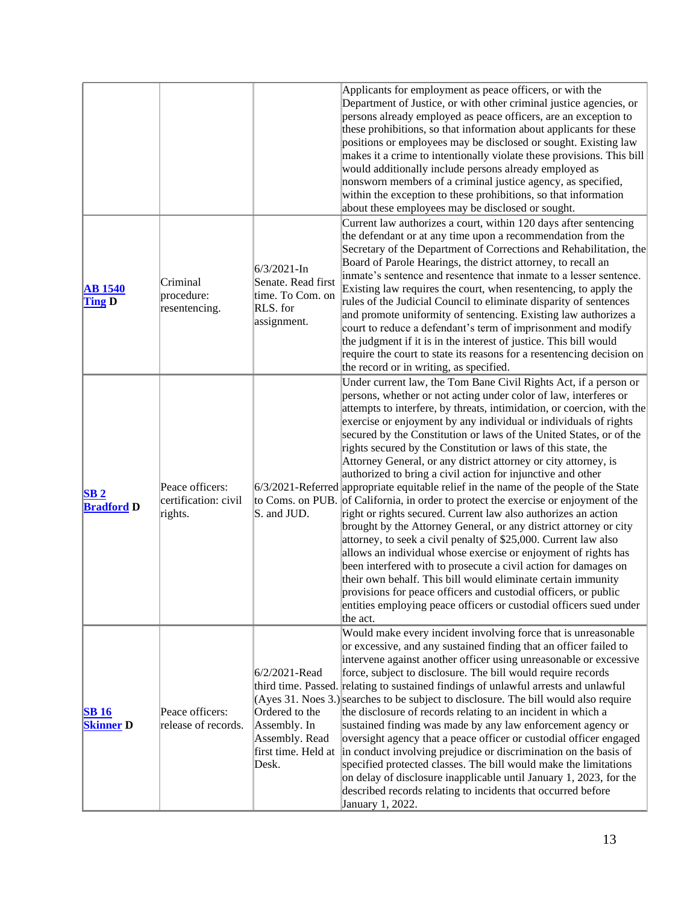|                                      |                                                    |                                                                                      | Applicants for employment as peace officers, or with the<br>Department of Justice, or with other criminal justice agencies, or<br>persons already employed as peace officers, are an exception to<br>these prohibitions, so that information about applicants for these<br>positions or employees may be disclosed or sought. Existing law<br>makes it a crime to intentionally violate these provisions. This bill<br>would additionally include persons already employed as<br>nonsworn members of a criminal justice agency, as specified,<br>within the exception to these prohibitions, so that information<br>about these employees may be disclosed or sought.                                                                                                                                                                                                                                                                                                                                                                                                                                                                                                                                                                                                                                                |
|--------------------------------------|----------------------------------------------------|--------------------------------------------------------------------------------------|----------------------------------------------------------------------------------------------------------------------------------------------------------------------------------------------------------------------------------------------------------------------------------------------------------------------------------------------------------------------------------------------------------------------------------------------------------------------------------------------------------------------------------------------------------------------------------------------------------------------------------------------------------------------------------------------------------------------------------------------------------------------------------------------------------------------------------------------------------------------------------------------------------------------------------------------------------------------------------------------------------------------------------------------------------------------------------------------------------------------------------------------------------------------------------------------------------------------------------------------------------------------------------------------------------------------|
| <b>AB</b> 1540<br><b>Ting D</b>      | Criminal<br>procedure:<br>resentencing.            | $6/3/2021 - In$<br>Senate. Read first<br>time. To Com. on<br>RLS. for<br>assignment. | Current law authorizes a court, within 120 days after sentencing<br>the defendant or at any time upon a recommendation from the<br>Secretary of the Department of Corrections and Rehabilitation, the<br>Board of Parole Hearings, the district attorney, to recall an<br>inmate's sentence and resentence that inmate to a lesser sentence.<br>Existing law requires the court, when resentencing, to apply the<br>rules of the Judicial Council to eliminate disparity of sentences<br>and promote uniformity of sentencing. Existing law authorizes a<br>court to reduce a defendant's term of imprisonment and modify<br>the judgment if it is in the interest of justice. This bill would<br>require the court to state its reasons for a resentencing decision on<br>the record or in writing, as specified.                                                                                                                                                                                                                                                                                                                                                                                                                                                                                                   |
| SB <sub>2</sub><br><b>Bradford D</b> | Peace officers:<br>certification: civil<br>rights. | S. and JUD.                                                                          | Under current law, the Tom Bane Civil Rights Act, if a person or<br>persons, whether or not acting under color of law, interferes or<br>attempts to interfere, by threats, intimidation, or coercion, with the<br>exercise or enjoyment by any individual or individuals of rights<br>secured by the Constitution or laws of the United States, or of the<br>rights secured by the Constitution or laws of this state, the<br>Attorney General, or any district attorney or city attorney, is<br>authorized to bring a civil action for injunctive and other<br>$6/3/2021$ -Referred appropriate equitable relief in the name of the people of the State<br>to Coms. on PUB. of California, in order to protect the exercise or enjoyment of the<br>right or rights secured. Current law also authorizes an action<br>brought by the Attorney General, or any district attorney or city<br>attorney, to seek a civil penalty of \$25,000. Current law also<br>allows an individual whose exercise or enjoyment of rights has<br>been interfered with to prosecute a civil action for damages on<br>their own behalf. This bill would eliminate certain immunity<br>provisions for peace officers and custodial officers, or public<br>entities employing peace officers or custodial officers sued under<br>the act. |
| <b>SB16</b><br><b>Skinner D</b>      | Peace officers:<br>release of records.             | 6/2/2021-Read<br>Ordered to the<br>Assembly. In<br>Assembly. Read<br>Desk.           | Would make every incident involving force that is unreasonable<br>or excessive, and any sustained finding that an officer failed to<br>intervene against another officer using unreasonable or excessive<br>force, subject to disclosure. The bill would require records<br>third time. Passed. relating to sustained findings of unlawful arrests and unlawful<br>(Ayes 31. Noes 3.) searches to be subject to disclosure. The bill would also require<br>the disclosure of records relating to an incident in which a<br>sustained finding was made by any law enforcement agency or<br>oversight agency that a peace officer or custodial officer engaged<br>first time. Held at  in conduct involving prejudice or discrimination on the basis of<br>specified protected classes. The bill would make the limitations<br>on delay of disclosure inapplicable until January 1, 2023, for the<br>described records relating to incidents that occurred before<br>January 1, 2022.                                                                                                                                                                                                                                                                                                                                  |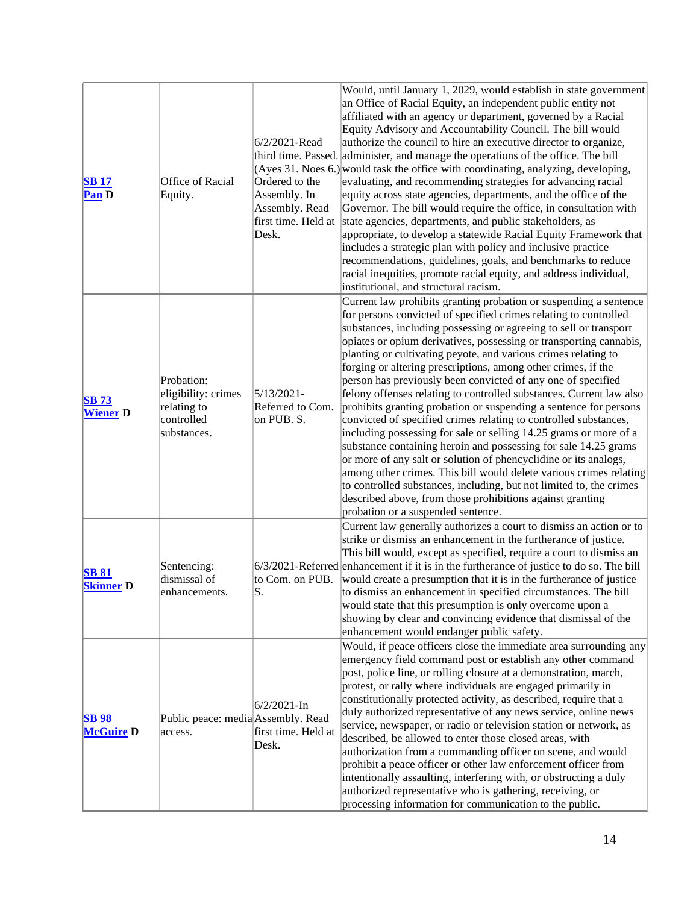| <b>SB17</b><br>Pan D             | Office of Racial<br>Equity.                                                   | 6/2/2021-Read<br>Ordered to the<br>Assembly. In<br>Assembly. Read<br>Desk. | Would, until January 1, 2029, would establish in state government<br>an Office of Racial Equity, an independent public entity not<br>affiliated with an agency or department, governed by a Racial<br>Equity Advisory and Accountability Council. The bill would<br>authorize the council to hire an executive director to organize,<br>third time. Passed. administer, and manage the operations of the office. The bill<br>(Ayes 31. Noes 6.) would task the office with coordinating, analyzing, developing,<br>evaluating, and recommending strategies for advancing racial<br>equity across state agencies, departments, and the office of the<br>Governor. The bill would require the office, in consultation with<br>first time. Held at state agencies, departments, and public stakeholders, as<br>appropriate, to develop a statewide Racial Equity Framework that<br>includes a strategic plan with policy and inclusive practice<br>recommendations, guidelines, goals, and benchmarks to reduce<br>racial inequities, promote racial equity, and address individual,<br>institutional, and structural racism.                                      |
|----------------------------------|-------------------------------------------------------------------------------|----------------------------------------------------------------------------|-----------------------------------------------------------------------------------------------------------------------------------------------------------------------------------------------------------------------------------------------------------------------------------------------------------------------------------------------------------------------------------------------------------------------------------------------------------------------------------------------------------------------------------------------------------------------------------------------------------------------------------------------------------------------------------------------------------------------------------------------------------------------------------------------------------------------------------------------------------------------------------------------------------------------------------------------------------------------------------------------------------------------------------------------------------------------------------------------------------------------------------------------------------------|
| <b>SB</b> 73<br><b>Wiener D</b>  | Probation:<br>eligibility: crimes<br>relating to<br>controlled<br>substances. | $5/13/2021 -$<br>Referred to Com.<br>on PUB. S.                            | Current law prohibits granting probation or suspending a sentence<br>for persons convicted of specified crimes relating to controlled<br>substances, including possessing or agreeing to sell or transport<br>opiates or opium derivatives, possessing or transporting cannabis,<br>planting or cultivating peyote, and various crimes relating to<br>forging or altering prescriptions, among other crimes, if the<br>person has previously been convicted of any one of specified<br>felony offenses relating to controlled substances. Current law also<br>prohibits granting probation or suspending a sentence for persons<br>convicted of specified crimes relating to controlled substances,<br>including possessing for sale or selling 14.25 grams or more of a<br>substance containing heroin and possessing for sale 14.25 grams<br>or more of any salt or solution of phencyclidine or its analogs,<br>among other crimes. This bill would delete various crimes relating<br>to controlled substances, including, but not limited to, the crimes<br>described above, from those prohibitions against granting<br>probation or a suspended sentence. |
| <b>SB 81</b><br><b>Skinner D</b> | Sentencing:<br>dismissal of<br>enhancements.                                  | S.                                                                         | Current law generally authorizes a court to dismiss an action or to<br>strike or dismiss an enhancement in the furtherance of justice.<br>This bill would, except as specified, require a court to dismiss an<br>$6/3/2021$ -Referred enhancement if it is in the furtherance of justice to do so. The bill<br>to Com. on PUB. would create a presumption that it is in the furtherance of justice<br>to dismiss an enhancement in specified circumstances. The bill<br>would state that this presumption is only overcome upon a<br>showing by clear and convincing evidence that dismissal of the<br>enhancement would endanger public safety.                                                                                                                                                                                                                                                                                                                                                                                                                                                                                                                |
| <b>SB98</b><br><b>McGuire D</b>  | Public peace: media Assembly. Read<br>access.                                 | $6/2/2021$ -In<br>first time. Held at<br>Desk.                             | Would, if peace officers close the immediate area surrounding any<br>emergency field command post or establish any other command<br>post, police line, or rolling closure at a demonstration, march,<br>protest, or rally where individuals are engaged primarily in<br>constitutionally protected activity, as described, require that a<br>duly authorized representative of any news service, online news<br>service, newspaper, or radio or television station or network, as<br>described, be allowed to enter those closed areas, with<br>authorization from a commanding officer on scene, and would<br>prohibit a peace officer or other law enforcement officer from<br>intentionally assaulting, interfering with, or obstructing a duly<br>authorized representative who is gathering, receiving, or<br>processing information for communication to the public.                                                                                                                                                                                                                                                                                      |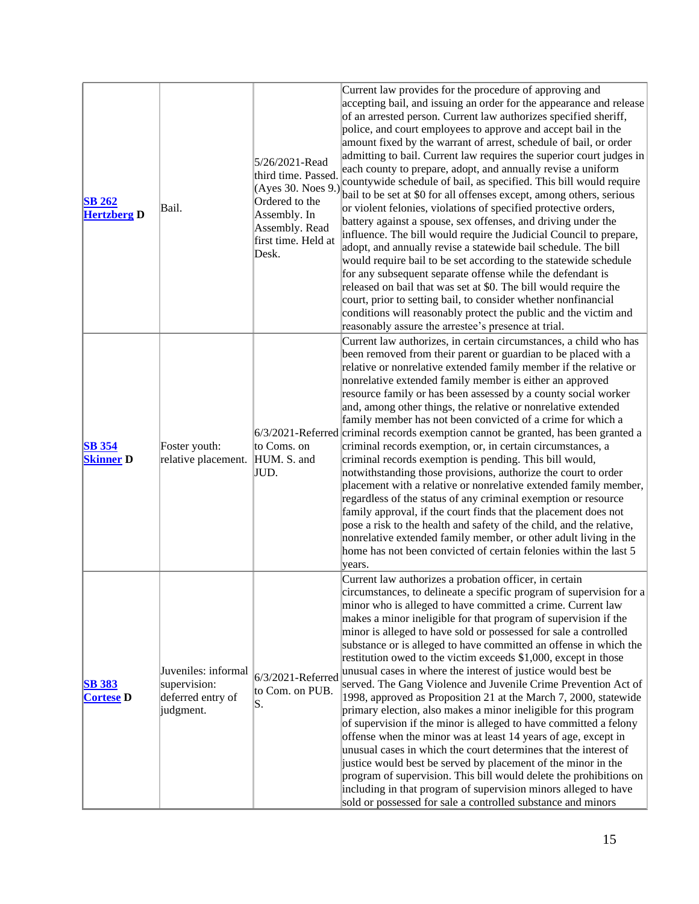| <b>SB 262</b><br><b>Hertzberg D</b> | Bail.                                                                 | 5/26/2021-Read<br>third time. Passed.<br>(Ayes 30. Noes 9.)<br>Ordered to the<br>Assembly. In<br>Assembly. Read<br>first time. Held at<br>Desk. | Current law provides for the procedure of approving and<br>accepting bail, and issuing an order for the appearance and release<br>of an arrested person. Current law authorizes specified sheriff,<br>police, and court employees to approve and accept bail in the<br>amount fixed by the warrant of arrest, schedule of bail, or order<br>admitting to bail. Current law requires the superior court judges in<br>each county to prepare, adopt, and annually revise a uniform<br>countywide schedule of bail, as specified. This bill would require<br>bail to be set at \$0 for all offenses except, among others, serious<br>or violent felonies, violations of specified protective orders,<br>battery against a spouse, sex offenses, and driving under the<br>influence. The bill would require the Judicial Council to prepare,<br>adopt, and annually revise a statewide bail schedule. The bill<br>would require bail to be set according to the statewide schedule<br>for any subsequent separate offense while the defendant is<br>released on bail that was set at \$0. The bill would require the<br>court, prior to setting bail, to consider whether nonfinancial<br>conditions will reasonably protect the public and the victim and<br>reasonably assure the arrestee's presence at trial. |
|-------------------------------------|-----------------------------------------------------------------------|-------------------------------------------------------------------------------------------------------------------------------------------------|---------------------------------------------------------------------------------------------------------------------------------------------------------------------------------------------------------------------------------------------------------------------------------------------------------------------------------------------------------------------------------------------------------------------------------------------------------------------------------------------------------------------------------------------------------------------------------------------------------------------------------------------------------------------------------------------------------------------------------------------------------------------------------------------------------------------------------------------------------------------------------------------------------------------------------------------------------------------------------------------------------------------------------------------------------------------------------------------------------------------------------------------------------------------------------------------------------------------------------------------------------------------------------------------------------------|
| <b>SB</b> 354<br><b>Skinner D</b>   | Foster youth:<br>relative placement.                                  | to Coms. on<br>HUM. S. and<br>JUD.                                                                                                              | Current law authorizes, in certain circumstances, a child who has<br>been removed from their parent or guardian to be placed with a<br>relative or nonrelative extended family member if the relative or<br>nonrelative extended family member is either an approved<br>resource family or has been assessed by a county social worker<br>and, among other things, the relative or nonrelative extended<br>family member has not been convicted of a crime for which a<br>6/3/2021-Referred criminal records exemption cannot be granted, has been granted a<br>criminal records exemption, or, in certain circumstances, a<br>criminal records exemption is pending. This bill would,<br>notwithstanding those provisions, authorize the court to order<br>placement with a relative or nonrelative extended family member,<br>regardless of the status of any criminal exemption or resource<br>family approval, if the court finds that the placement does not<br>pose a risk to the health and safety of the child, and the relative,<br>nonrelative extended family member, or other adult living in the<br>home has not been convicted of certain felonies within the last 5<br>years.                                                                                                                  |
| <b>SB 383</b><br><b>Cortese</b> D   | Juveniles: informal<br>supervision:<br>deferred entry of<br>judgment. | 6/3/2021-Referred<br>to Com. on PUB.<br>S.                                                                                                      | Current law authorizes a probation officer, in certain<br>circumstances, to delineate a specific program of supervision for a<br>minor who is alleged to have committed a crime. Current law<br>makes a minor ineligible for that program of supervision if the<br>minor is alleged to have sold or possessed for sale a controlled<br>substance or is alleged to have committed an offense in which the<br>restitution owed to the victim exceeds \$1,000, except in those<br>unusual cases in where the interest of justice would best be<br>served. The Gang Violence and Juvenile Crime Prevention Act of<br>1998, approved as Proposition 21 at the March 7, 2000, statewide<br>primary election, also makes a minor ineligible for this program<br>of supervision if the minor is alleged to have committed a felony<br>offense when the minor was at least 14 years of age, except in<br>unusual cases in which the court determines that the interest of<br>justice would best be served by placement of the minor in the<br>program of supervision. This bill would delete the prohibitions on<br>including in that program of supervision minors alleged to have<br>sold or possessed for sale a controlled substance and minors                                                                    |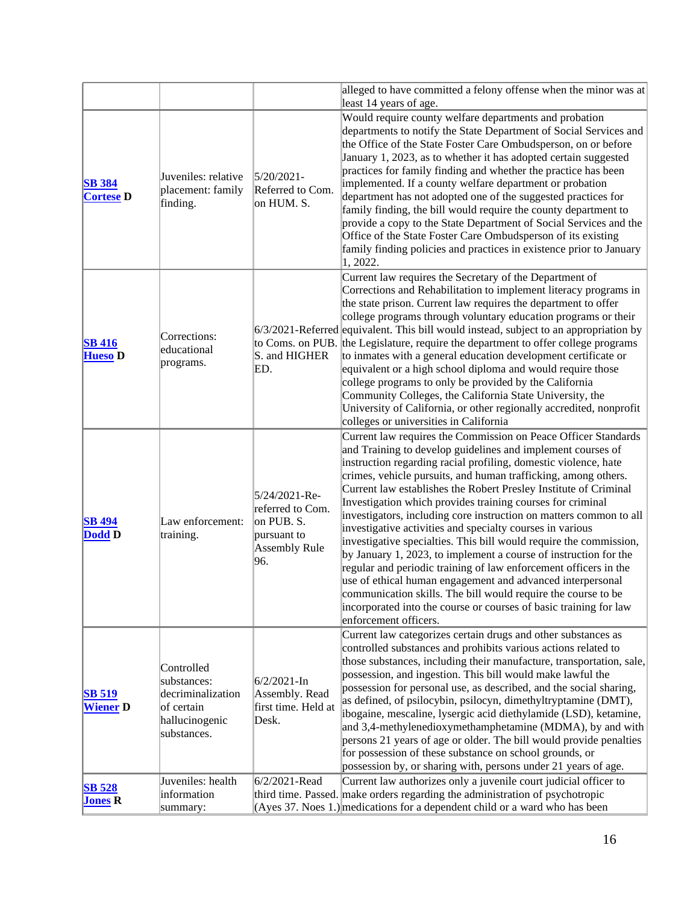|                                   |                                                                                               |                                                                                               | alleged to have committed a felony offense when the minor was at<br>least 14 years of age.                                                                                                                                                                                                                                                                                                                                                                                                                                                                                                                                                                                                                                                                                                                                                                                                                                                                                         |
|-----------------------------------|-----------------------------------------------------------------------------------------------|-----------------------------------------------------------------------------------------------|------------------------------------------------------------------------------------------------------------------------------------------------------------------------------------------------------------------------------------------------------------------------------------------------------------------------------------------------------------------------------------------------------------------------------------------------------------------------------------------------------------------------------------------------------------------------------------------------------------------------------------------------------------------------------------------------------------------------------------------------------------------------------------------------------------------------------------------------------------------------------------------------------------------------------------------------------------------------------------|
| <b>SB</b> 384<br><b>Cortese D</b> | Juveniles: relative<br>placement: family<br>finding.                                          | $5/20/2021$ -<br>Referred to Com.<br>on HUM. S.                                               | Would require county welfare departments and probation<br>departments to notify the State Department of Social Services and<br>the Office of the State Foster Care Ombudsperson, on or before<br>January 1, 2023, as to whether it has adopted certain suggested<br>practices for family finding and whether the practice has been<br>implemented. If a county welfare department or probation<br>department has not adopted one of the suggested practices for<br>family finding, the bill would require the county department to<br>provide a copy to the State Department of Social Services and the<br>Office of the State Foster Care Ombudsperson of its existing<br>family finding policies and practices in existence prior to January<br>1, 2022.                                                                                                                                                                                                                         |
| <b>SB 416</b><br><b>Hueso D</b>   | Corrections:<br>educational<br>programs.                                                      | S. and HIGHER<br>ED.                                                                          | Current law requires the Secretary of the Department of<br>Corrections and Rehabilitation to implement literacy programs in<br>the state prison. Current law requires the department to offer<br>college programs through voluntary education programs or their<br>$6/3/2021$ -Referred equivalent. This bill would instead, subject to an appropriation by<br>to Coms. on PUB. the Legislature, require the department to offer college programs<br>to inmates with a general education development certificate or<br>equivalent or a high school diploma and would require those<br>college programs to only be provided by the California<br>Community Colleges, the California State University, the<br>University of California, or other regionally accredited, nonprofit<br>colleges or universities in California                                                                                                                                                          |
| <b>SB 494</b><br>Dodd D           | Law enforcement:<br>training.                                                                 | 5/24/2021-Re-<br>referred to Com.<br>on PUB. S.<br>pursuant to<br><b>Assembly Rule</b><br>96. | Current law requires the Commission on Peace Officer Standards<br>and Training to develop guidelines and implement courses of<br>instruction regarding racial profiling, domestic violence, hate<br>crimes, vehicle pursuits, and human trafficking, among others.<br>Current law establishes the Robert Presley Institute of Criminal<br>Investigation which provides training courses for criminal<br>investigators, including core instruction on matters common to all<br>investigative activities and specialty courses in various<br>investigative specialties. This bill would require the commission,<br>by January 1, 2023, to implement a course of instruction for the<br>regular and periodic training of law enforcement officers in the<br>use of ethical human engagement and advanced interpersonal<br>communication skills. The bill would require the course to be<br>incorporated into the course or courses of basic training for law<br>enforcement officers. |
| <b>SB 519</b><br><b>Wiener</b> D  | Controlled<br>substances:<br>decriminalization<br>of certain<br>hallucinogenic<br>substances. | $6/2/2021 - In$<br>Assembly. Read<br>first time. Held at<br>Desk.                             | Current law categorizes certain drugs and other substances as<br>controlled substances and prohibits various actions related to<br>those substances, including their manufacture, transportation, sale,<br>possession, and ingestion. This bill would make lawful the<br>possession for personal use, as described, and the social sharing,<br>as defined, of psilocybin, psilocyn, dimethyltryptamine (DMT),<br>ibogaine, mescaline, lysergic acid diethylamide (LSD), ketamine,<br>and 3,4-methylenedioxymethamphetamine (MDMA), by and with<br>persons 21 years of age or older. The bill would provide penalties<br>for possession of these substance on school grounds, or<br>possession by, or sharing with, persons under 21 years of age.                                                                                                                                                                                                                                  |
| <b>SB 528</b><br><b>Jones R</b>   | Juveniles: health<br>information<br>summary:                                                  | 6/2/2021-Read                                                                                 | Current law authorizes only a juvenile court judicial officer to<br>third time. Passed. make orders regarding the administration of psychotropic<br>(Ayes 37. Noes $1$ .) medications for a dependent child or a ward who has been                                                                                                                                                                                                                                                                                                                                                                                                                                                                                                                                                                                                                                                                                                                                                 |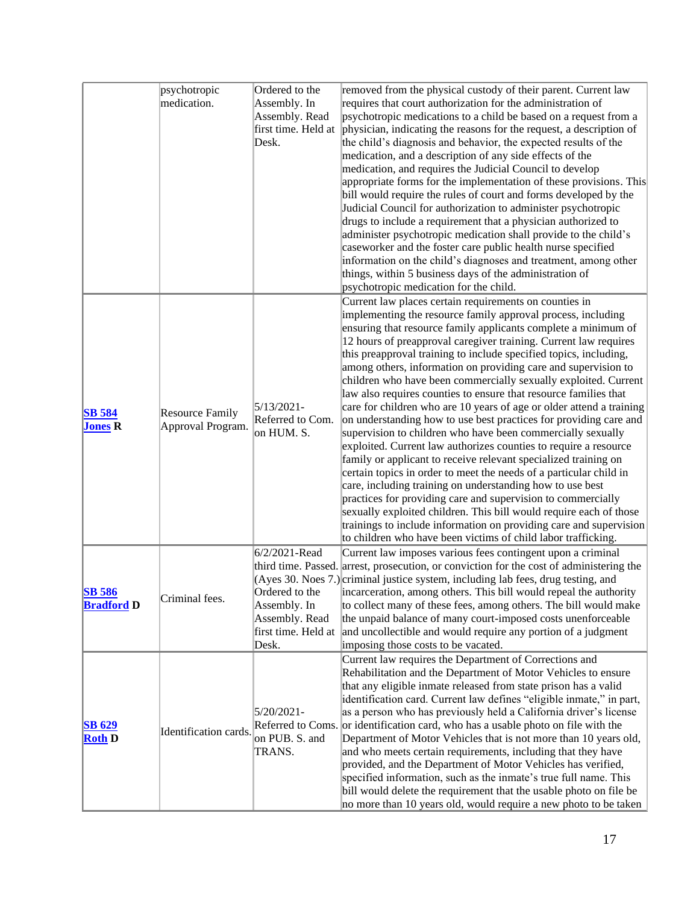|                                | psychotropic           | Ordered to the                                  | removed from the physical custody of their parent. Current law                           |
|--------------------------------|------------------------|-------------------------------------------------|------------------------------------------------------------------------------------------|
|                                | medication.            | Assembly. In                                    | requires that court authorization for the administration of                              |
|                                |                        | Assembly. Read                                  | psychotropic medications to a child be based on a request from a                         |
|                                |                        | first time. Held at                             | physician, indicating the reasons for the request, a description of                      |
|                                |                        |                                                 |                                                                                          |
|                                |                        | Desk.                                           | the child's diagnosis and behavior, the expected results of the                          |
|                                |                        |                                                 | medication, and a description of any side effects of the                                 |
|                                |                        |                                                 | medication, and requires the Judicial Council to develop                                 |
|                                |                        |                                                 | appropriate forms for the implementation of these provisions. This                       |
|                                |                        |                                                 | bill would require the rules of court and forms developed by the                         |
|                                |                        |                                                 | Judicial Council for authorization to administer psychotropic                            |
|                                |                        |                                                 | drugs to include a requirement that a physician authorized to                            |
|                                |                        |                                                 | administer psychotropic medication shall provide to the child's                          |
|                                |                        |                                                 | caseworker and the foster care public health nurse specified                             |
|                                |                        |                                                 | information on the child's diagnoses and treatment, among other                          |
|                                |                        |                                                 | things, within 5 business days of the administration of                                  |
|                                |                        |                                                 | psychotropic medication for the child.                                                   |
|                                |                        |                                                 | Current law places certain requirements on counties in                                   |
|                                |                        |                                                 | implementing the resource family approval process, including                             |
|                                |                        |                                                 | ensuring that resource family applicants complete a minimum of                           |
|                                |                        |                                                 | 12 hours of preapproval caregiver training. Current law requires                         |
|                                |                        |                                                 | this preapproval training to include specified topics, including,                        |
|                                |                        |                                                 | among others, information on providing care and supervision to                           |
|                                |                        |                                                 |                                                                                          |
|                                |                        |                                                 | children who have been commercially sexually exploited. Current                          |
|                                |                        |                                                 | law also requires counties to ensure that resource families that                         |
| <b>SB 584</b>                  | <b>Resource Family</b> | $5/13/2021 -$<br>Referred to Com.<br>on HUM. S. | care for children who are 10 years of age or older attend a training                     |
| <b>Jones R</b>                 | Approval Program.      |                                                 | on understanding how to use best practices for providing care and                        |
|                                |                        |                                                 | supervision to children who have been commercially sexually                              |
|                                |                        |                                                 | exploited. Current law authorizes counties to require a resource                         |
|                                |                        |                                                 | family or applicant to receive relevant specialized training on                          |
|                                |                        |                                                 | certain topics in order to meet the needs of a particular child in                       |
|                                |                        |                                                 | care, including training on understanding how to use best                                |
|                                |                        |                                                 | practices for providing care and supervision to commercially                             |
|                                |                        |                                                 | sexually exploited children. This bill would require each of those                       |
|                                |                        |                                                 | trainings to include information on providing care and supervision                       |
|                                |                        |                                                 | to children who have been victims of child labor trafficking.                            |
|                                |                        | 6/2/2021-Read                                   | Current law imposes various fees contingent upon a criminal                              |
|                                | Criminal fees.         |                                                 | third time. Passed. arrest, prosecution, or conviction for the cost of administering the |
|                                |                        |                                                 | (Ayes 30. Noes 7.) criminal justice system, including lab fees, drug testing, and        |
| <b>SB 586</b>                  |                        |                                                 | Ordered to the incarceration, among others. This bill would repeal the authority         |
| <b>Bradford</b> D              |                        | Assembly. In                                    | to collect many of these fees, among others. The bill would make                         |
|                                |                        | Assembly. Read                                  | the unpaid balance of many court-imposed costs unenforceable                             |
|                                |                        | first time. Held at                             | and uncollectible and would require any portion of a judgment                            |
|                                |                        | Desk.                                           | imposing those costs to be vacated.                                                      |
|                                |                        |                                                 | Current law requires the Department of Corrections and                                   |
|                                |                        |                                                 | Rehabilitation and the Department of Motor Vehicles to ensure                            |
| <b>SB 629</b><br><b>Roth D</b> | Identification cards.  |                                                 | that any eligible inmate released from state prison has a valid                          |
|                                |                        |                                                 | identification card. Current law defines "eligible inmate," in part,                     |
|                                |                        | $5/20/2021 -$                                   | as a person who has previously held a California driver's license                        |
|                                |                        |                                                 | Referred to Coms. or identification card, who has a usable photo on file with the        |
|                                |                        | on PUB. S. and                                  | Department of Motor Vehicles that is not more than 10 years old,                         |
|                                |                        | TRANS.                                          | and who meets certain requirements, including that they have                             |
|                                |                        |                                                 | provided, and the Department of Motor Vehicles has verified,                             |
|                                |                        |                                                 | specified information, such as the inmate's true full name. This                         |
|                                |                        |                                                 | bill would delete the requirement that the usable photo on file be                       |
|                                |                        |                                                 | no more than 10 years old, would require a new photo to be taken                         |
|                                |                        |                                                 |                                                                                          |